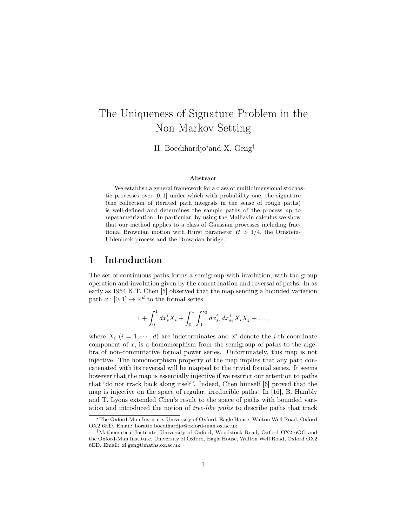# The Uniqueness of Signature Problem in the Non-Markov Setting

H. Boedihardjo<sup>∗</sup>and X. Geng†

#### Abstract

We establish a general framework for a class of multidimensional stochastic processes over [0, 1] under which with probability one, the signature (the collection of iterated path integrals in the sense of rough paths) is well-defined and determines the sample paths of the process up to reparametrization. In particular, by using the Malliavin calculus we show that our method applies to a class of Gaussian processes including fractional Brownian motion with Hurst parameter  $H > 1/4$ , the Ornstein-Uhlenbeck process and the Brownian bridge.

#### 1 Introduction

The set of continuous paths forms a semigroup with involution, with the group operation and involution given by the concatenation and reversal of paths. In as early as 1954 K.T. Chen [5] observed that the map sending a bounded variation path  $x : [0,1] \to \mathbb{R}^d$  to the formal series

$$
1 + \int_0^1 dx_s^i X_i + \int_0^1 \int_0^{s_2} dx_{s_1}^i dx_{s_2}^j X_i X_j + \dots,
$$

where  $X_i$   $(i = 1, \dots, d)$  are indeterminates and  $x^i$  denote the *i*-th coordinate component of  $x$ , is a homomorphism from the semigroup of paths to the algebra of non-commutative formal power series. Unfortunately, this map is not injective. The homomorphism property of the map implies that any path concatenated with its reversal will be mapped to the trivial formal series. It seems however that the map is essentially injective if we restrict our attention to paths that "do not track back along itself". Indeed, Chen himself [6] proved that the map is injective on the space of regular, irreducible paths. In [16], B. Hambly and T. Lyons extended Chen's result to the space of paths with bounded variation and introduced the notion of tree-like paths to describe paths that track

<sup>∗</sup>The Oxford-Man Institute, University of Oxford, Eagle House, Walton Well Road, Oxford OX2 6ED. Email: horatio.boedihardjo@oxford-man.ox.ac.uk

<sup>†</sup>Mathematical Institute, University of Oxford, Woodstock Road, Oxford OX2 6GG and the Oxford-Man Institute, University of Oxford, Eagle House, Walton Well Road, Oxford OX2 6ED. Email: xi.geng@maths.ox.ac.uk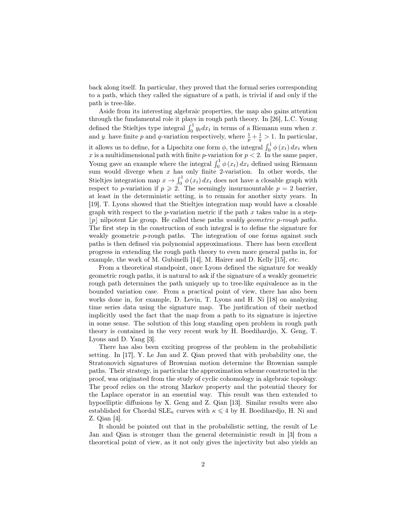back along itself. In particular, they proved that the formal series corresponding to a path, which they called the signature of a path, is trivial if and only if the path is tree-like.

Aside from its interesting algebraic properties, the map also gains attention through the fundamental role it plays in rough path theory. In [26], L.C. Young defined the Stieltjes type integral  $\int_0^1 y_t dx_t$  in terms of a Riemann sum when x. and y. have finite p and q-variation respectively, where  $\frac{1}{p} + \frac{1}{q} > 1$ . In particular, it allows us to define, for a Lipschitz one form  $\phi$ , the integral  $\int_0^1 \phi(x_t) dx_t$  when x is a multidimensional path with finite p-variation for  $p < 2$ . In the same paper, Young gave an example where the integral  $\int_0^1 \phi(x_t) dx_t$  defined using Riemann sum would diverge when  $x$  has only finite 2-variation. In other words, the Stieltjes integration map  $x \to \int_0^1 \phi(x_t) dx_t$  does not have a closable graph with respect to p-variation if  $p \ge 2$ . The seemingly insurmountable  $p = 2$  barrier, at least in the deterministic setting, is to remain for another sixty years. In [19], T. Lyons showed that the Stieltjes integration map would have a closable graph with respect to the  $p$ -variation metric if the path  $x$  takes value in a step- $|p|$  nilpotent Lie group. He called these paths *weakly geometric p-rough paths*. The first step in the construction of such integral is to define the signature for weakly geometric  $p$ -rough paths. The integration of one forms against such paths is then defined via polynomial approximations. There has been excellent progress in extending the rough path theory to even more general paths in, for example, the work of M. Gubinelli [14], M. Hairer and D. Kelly [15], etc.

From a theoretical standpoint, once Lyons defined the signature for weakly geometric rough paths, it is natural to ask if the signature of a weakly geometric rough path determines the path uniquely up to tree-like equivalence as in the bounded variation case. From a practical point of view, there has also been works done in, for example, D. Levin, T. Lyons and H. Ni [18] on analyzing time series data using the signature map. The justification of their method implicitly used the fact that the map from a path to its signature is injective in some sense. The solution of this long standing open problem in rough path theory is contained in the very recent work by H. Boedihardjo, X. Geng, T. Lyons and D. Yang [3].

There has also been exciting progress of the problem in the probabilistic setting. In [17], Y. Le Jan and Z. Qian proved that with probability one, the Stratonovich signatures of Brownian motion determine the Brownian sample paths. Their strategy, in particular the approximation scheme constructed in the proof, was originated from the study of cyclic cohomology in algebraic topology. The proof relies on the strong Markov property and the potential theory for the Laplace operator in an essential way. This result was then extended to hypoelliptic diffusions by X. Geng and Z. Qian [13]. Similar results were also established for Chordal  $\text{SLE}_{\kappa}$  curves with  $\kappa \leq 4$  by H. Boedihardjo, H. Ni and Z. Qian [4].

It should be pointed out that in the probabilistic setting, the result of Le Jan and Qian is stronger than the general deterministic result in [3] from a theoretical point of view, as it not only gives the injectivity but also yields an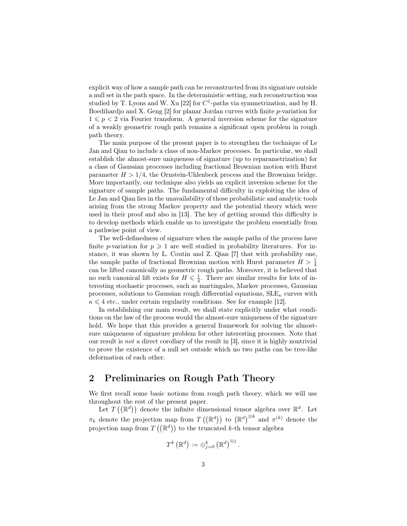explicit way of how a sample path can be reconstructed from its signature outside a null set in the path space. In the deterministic setting, such reconstruction was studied by T. Lyons and W. Xu [22] for  $C<sup>1</sup>$ -paths via symmetrization, and by H. Boedihardjo and X. Geng  $[2]$  for planar Jordan curves with finite p-variation for  $1 \leqslant p < 2$  via Fourier transform. A general inversion scheme for the signature of a weakly geometric rough path remains a significant open problem in rough path theory.

The main purpose of the present paper is to strengthen the technique of Le Jan and Qian to include a class of non-Markov processes. In particular, we shall establish the almost-sure uniqueness of signature (up to reparametrization) for a class of Gaussian processes including fractional Brownian motion with Hurst parameter  $H > 1/4$ , the Ornstein-Uhlenbeck process and the Brownian bridge. More importantly, our technique also yields an explicit inversion scheme for the signature of sample paths. The fundamental difficulty in exploiting the idea of Le Jan and Qian lies in the unavailability of those probabilistic and analytic tools arising from the strong Markov property and the potential theory which were used in their proof and also in [13]. The key of getting around this difficulty is to develop methods which enable us to investigate the problem essentially from a pathwise point of view.

The well-definedness of signature when the sample paths of the process have finite p-variation for  $p \geqslant 1$  are well studied in probability literatures. For instance, it was shown by L. Coutin and Z. Qian [7] that with probability one, the sample paths of fractional Brownian motion with Hurst parameter  $H > \frac{1}{4}$ can be lifted canonically as geometric rough paths. Moreover, it is believed that no such canonical lift exists for  $H \leq \frac{1}{4}$ . There are similar results for lots of interesting stochastic processes, such as martingales, Markov processes, Gaussian processes, solutions to Gaussian rough differential equations,  $SLE_{\kappa}$  curves with  $\kappa \leq 4$  etc., under certain regularity conditions. See for example [12].

In establishing our main result, we shall state explicitly under what conditions on the law of the process would the almost-sure uniqueness of the signature hold. We hope that this provides a general framework for solving the almostsure uniqueness of signature problem for other interesting processes. Note that our result is not a direct corollary of the result in [3], since it is highly nontrivial to prove the existence of a null set outside which no two paths can be tree-like deformation of each other.

## 2 Preliminaries on Rough Path Theory

We first recall some basic notions from rough path theory, which we will use throughout the rest of the present paper.

Let  $T\left(\mathbb{R}^d\right)$  denote the infinite dimensional tensor algebra over  $\mathbb{R}^d$ . Let  $\pi_k$  denote the projection map from  $T((\mathbb{R}^d))$  to  $(\mathbb{R}^d)^{\otimes k}$  and  $\pi^{(k)}$  denote the projection map from  $T((\mathbb{R}^d))$  to the truncated k-th tensor algebra

$$
T^k\left(\mathbb{R}^d\right):=\oplus_{j=0}^k\left(\mathbb{R}^d\right)^{\otimes j}.
$$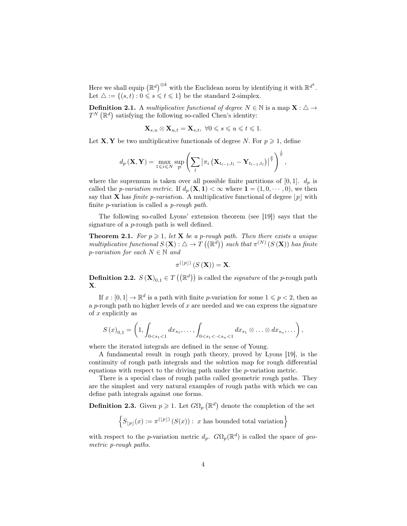Here we shall equip  $(\mathbb{R}^d)^{\otimes k}$  with the Euclidean norm by identifying it with  $\mathbb{R}^{d^k}$ . Let  $\triangle := \{(s, t) : 0 \leq s \leq t \leq 1\}$  be the standard 2-simplex.

**Definition 2.1.** A multiplicative functional of degree  $N \in \mathbb{N}$  is a map  $\mathbf{X} : \Delta \to$  $T^{N}(\mathbb{R}^{d})$  satisfying the following so-called Chen's identity:

$$
\mathbf{X}_{s,u}\otimes \mathbf{X}_{u,t}=\mathbf{X}_{s,t},\ \forall 0\leqslant s\leqslant u\leqslant t\leqslant 1.
$$

Let **X**, **Y** be two multiplicative functionals of degree N. For  $p \ge 1$ , define

$$
d_p\left(\mathbf{X}, \mathbf{Y}\right) = \max_{1 \leq i \leq N} \sup_{\mathcal{P}} \left( \sum_l \left| \pi_i \left( \mathbf{X}_{t_{l-1}, t_l} - \mathbf{Y}_{t_{l-1}, t_l} \right) \right|^{\frac{p}{i}} \right)^{\frac{i}{p}},
$$

where the supremum is taken over all possible finite partitions of  $[0, 1]$ .  $d_p$  is called the *p-variation metric*. If  $d_p(\mathbf{X}, \mathbf{1}) < \infty$  where  $\mathbf{1} = (1, 0, \dots, 0)$ , we then say that **X** has *finite p-variation*. A multiplicative functional of degree  $|p|$  with finite p-variation is called a p-rough path.

The following so-called Lyons' extension theorem (see [19]) says that the signature of a p-rough path is well defined.

**Theorem 2.1.** For  $p \geq 1$ , let **X** be a p-rough path. Then there exists a unique multiplicative functional  $S(\mathbf{X}): \Delta \to T((\mathbb{R}^d))$  such that  $\pi^{(N)}(S(\mathbf{X}))$  has finite p-variation for each  $N \in \mathbb{N}$  and

$$
\pi^{(\lfloor p\rfloor)}\left(S\left(\mathbf{X}\right)\right)=\mathbf{X}.
$$

**Definition 2.2.**  $S(\mathbf{X})_{0,1} \in T((\mathbb{R}^d))$  is called the *signature* of the *p*-rough path X.

If  $x : [0, 1] \to \mathbb{R}^d$  is a path with finite p-variation for some  $1 \leqslant p < 2$ , then as a p-rough path no higher levels of x are needed and we can express the signature of  $x$  explicitly as

$$
S(x)_{0,1} = \left(1, \int_{0 < s_1 < 1} dx_{s_1}, \ldots, \int_{0 < s_1 < \cdots < s_n < 1} dx_{s_1} \otimes \ldots \otimes dx_{s_n}, \ldots\right),
$$

where the iterated integrals are defined in the sense of Young.

A fundamental result in rough path theory, proved by Lyons [19], is the continuity of rough path integrals and the solution map for rough differential equations with respect to the driving path under the p-variation metric.

There is a special class of rough paths called geometric rough paths. They are the simplest and very natural examples of rough paths with which we can define path integrals against one forms.

**Definition 2.3.** Given  $p \ge 1$ . Let  $G\Omega_p$  ( $\mathbb{R}^d$ ) denote the completion of the set

 $\left\{S_{\lfloor p\rfloor}(x) := \pi^{(\lfloor p\rfloor)}\left(S(x)\right) : x \text{ has bounded total variation}\right\}$ 

with respect to the p-variation metric  $d_p$ .  $G\Omega_p(\mathbb{R}^d)$  is called the space of geometric p-rough paths.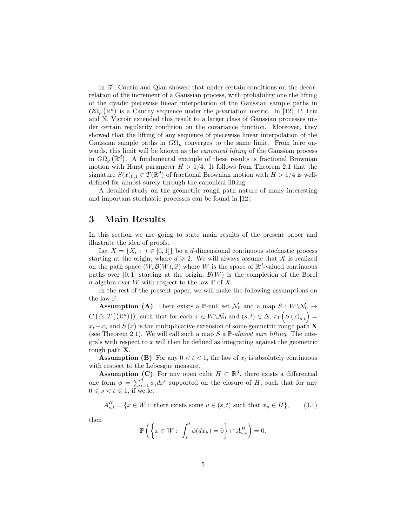In [7], Coutin and Qian showed that under certain conditions on the decorrelation of the increment of a Gaussian process, with probability one the lifting of the dyadic piecewise linear interpolation of the Gaussian sample paths in  $G\Omega_p(\mathbb{R}^d)$  is a Cauchy sequence under the p-variation metric. In [12], P. Friz and N. Victoir extended this result to a larger class of Gaussian processes under certain regularity condition on the covariance function. Moreover, they showed that the lifting of any sequence of piecewise linear interpolation of the Gaussian sample paths in  $G\Omega_p$  converges to the same limit. From here onwards, this limit will be known as the *canonical lifting* of the Gaussian process in  $G\Omega_p(\mathbb{R}^d)$ . A fundamental example of these results is fractional Brownian motion with Hurst parameter  $H > 1/4$ . It follows from Theorem 2.1 that the signature  $S(x)_{0,1} \in T(\mathbb{R}^d)$  of fractional Brownian motion with  $H > 1/4$  is welldefined for almost surely through the canonical lifting.

A detailed study on the geometric rough path nature of many interesting and important stochastic processes can be found in [12].

## 3 Main Results

In this section we are going to state main results of the present paper and illustrate the idea of proofs.

Let  $X = \{X_t : t \in [0,1]\}$  be a d-dimensional continuous stochastic process starting at the origin, where  $d \geq 2$ . We will always assume that X is realized on the path space  $(W, \overline{\mathcal{B}(W)}, \mathbb{P})$ , where W is the space of  $\mathbb{R}^d$ -valued continuous paths over [0,1] starting at the origin,  $\mathcal{B}(W)$  is the completion of the Borel σ-algebra over W with respect to the law  $\mathbb P$  of X.

In the rest of the present paper, we will make the following assumptions on the law P.

**Assumption (A):** There exists a P-null set  $\mathcal{N}_0$  and a map  $S: W \backslash \mathcal{N}_0 \rightarrow$  $C\left(\triangle; T\left(\mathbb{R}^d\right)\right)$ , such that for each  $x \in W \setminus \mathcal{N}_0$  and  $(s,t) \in \Delta$ ,  $\pi_1\left(S(x)_{s,t}\right) =$  $x_t-x_s$  and  $S(x)$  is the multiplicative extension of some geometric rough path X (see Theorem 2.1). We will call such a map S a  $\mathbb{P}\text{-}almost sure lifting.$  The integrals with respect to  $x$  will then be defined as integrating against the geometric rough path X.

**Assumption (B):** For any  $0 < t < 1$ , the law of  $x_t$  is absolutely continuous with respect to the Lebesgue measure.

**Assumption (C)**: For any open cube  $H \subset \mathbb{R}^d$ , there exists a differential one form  $\phi = \sum_{i=1}^d \phi_i dx^i$  supported on the closure of H, such that for any  $0 \leqslant s < t \leqslant 1$ , if we let

 $A_{s,t}^H = \{x \in W : \text{ there exists some } u \in (s,t) \text{ such that } x_u \in H\},$  (3.1)

then

$$
\mathbb{P}\left(\left\{x \in W: \int_{s}^{t} \phi(dx_u) = 0\right\} \cap A_{s,t}^H\right) = 0.
$$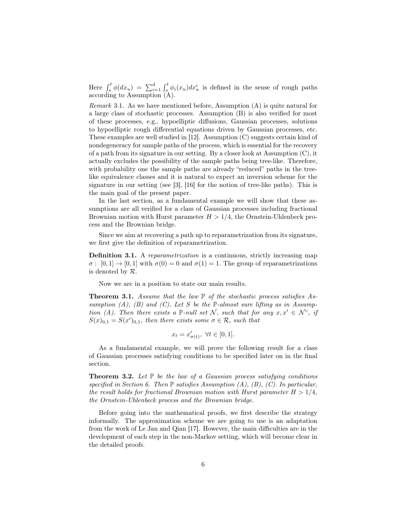Here  $\int_s^t \phi(dx_u) = \sum_{i=1}^d \int_s^t \phi_i(x_u) dx_u^i$  is defined in the sense of rough paths according to Assumption (A).

*Remark* 3.1. As we have mentioned before, Assumption  $(A)$  is quite natural for a large class of stochastic processes. Assumption (B) is also verified for most of these processes, e.g., hypoelliptic diffusions, Gaussian processes, solutions to hypoelliptic rough differential equations driven by Gaussian processes, etc. These examples are well studied in [12]. Assumption (C) suggests certain kind of nondegeneracy for sample paths of the process, which is essential for the recovery of a path from its signature in our setting. By a closer look at Assumption (C), it actually excludes the possibility of the sample paths being tree-like. Therefore, with probability one the sample paths are already "reduced" paths in the treelike equivalence classes and it is natural to expect an inversion scheme for the signature in our setting (see [3], [16] for the notion of tree-like paths). This is the main goal of the present paper.

In the last section, as a fundamental example we will show that these assumptions are all verified for a class of Gaussian processes including fractional Brownian motion with Hurst parameter  $H > 1/4$ , the Ornstein-Uhlenbeck process and the Brownian bridge.

Since we aim at recovering a path up to reparametrization from its signature, we first give the definition of reparametrization.

Definition 3.1. A reparametrization is a continuous, strictly increasing map  $\sigma: [0,1] \to [0,1]$  with  $\sigma(0) = 0$  and  $\sigma(1) = 1$ . The group of reparametrizations is denoted by R.

Now we are in a position to state our main results.

**Theorem 3.1.** Assume that the law  $\mathbb P$  of the stochastic process satisfies Assumption  $(A)$ ,  $(B)$  and  $(C)$ . Let S be the P-almost sure lifting as in Assumption (A). Then there exists a P-null set N, such that for any  $x, x' \in \mathcal{N}^c$ , if  $S(x)_{0,1} = S(x')_{0,1}$ , then there exists some  $\sigma \in \mathcal{R}$ , such that

$$
x_t = x'_{\sigma(t)}, \ \forall t \in [0, 1].
$$

As a fundamental example, we will prove the following result for a class of Gaussian processes satisfying conditions to be specified later on in the final section.

**Theorem 3.2.** Let  $\mathbb{P}$  be the law of a Gaussian process satisfying conditions specified in Section 6. Then  $\mathbb P$  satisfies Assumption (A), (B), (C). In particular, the result holds for fractional Brownian motion with Hurst parameter  $H > 1/4$ , the Ornstein-Uhlenbeck process and the Brownian bridge.

Before going into the mathematical proofs, we first describe the strategy informally. The approximation scheme we are going to use is an adaptation from the work of Le Jan and Qian [17]. However, the main difficulties are in the development of each step in the non-Markov setting, which will become clear in the detailed proofs.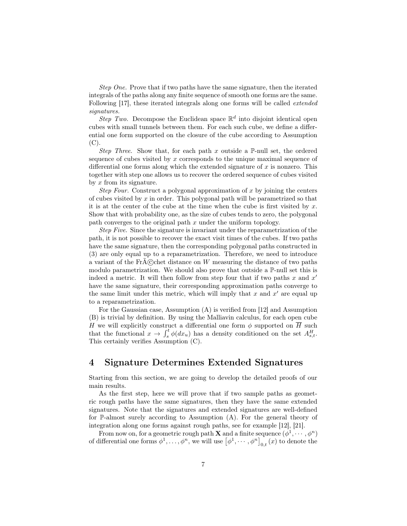Step One. Prove that if two paths have the same signature, then the iterated integrals of the paths along any finite sequence of smooth one forms are the same. Following [17], these iterated integrals along one forms will be called extended signatures.

Step Two. Decompose the Euclidean space  $\mathbb{R}^d$  into disjoint identical open cubes with small tunnels between them. For each such cube, we define a differential one form supported on the closure of the cube according to Assumption  $(C).$ 

Step Three. Show that, for each path x outside a  $\mathbb{P}\text{-null}$  set, the ordered sequence of cubes visited by x corresponds to the unique maximal sequence of differential one forms along which the extended signature of  $x$  is nonzero. This together with step one allows us to recover the ordered sequence of cubes visited by  $x$  from its signature.

Step Four. Construct a polygonal approximation of x by joining the centers of cubes visited by  $x$  in order. This polygonal path will be parametrized so that it is at the center of the cube at the time when the cube is first visited by  $x$ . Show that with probability one, as the size of cubes tends to zero, the polygonal path converges to the original path x under the uniform topology.

Step Five. Since the signature is invariant under the reparametrization of the path, it is not possible to recover the exact visit times of the cubes. If two paths have the same signature, then the corresponding polygonal paths constructed in (3) are only equal up to a reparametrization. Therefore, we need to introduce a variant of the Fr $\tilde{A}$ C chet distance on W measuring the distance of two paths modulo parametrization. We should also prove that outside a  $\mathbb{P}\text{-null}$  set this is indeed a metric. It will then follow from step four that if two paths  $x$  and  $x'$ have the same signature, their corresponding approximation paths converge to the same limit under this metric, which will imply that  $x$  and  $x'$  are equal up to a reparametrization.

For the Gaussian case, Assumption (A) is verified from [12] and Assumption (B) is trivial by definition. By using the Malliavin calculus, for each open cube H we will explicitly construct a differential one form  $\phi$  supported on  $\overline{H}$  such that the functional  $x \to \int_s^t \phi(dx_u)$  has a density conditioned on the set  $A_{s,t}^H$ . This certainly verifies Assumption (C).

## 4 Signature Determines Extended Signatures

Starting from this section, we are going to develop the detailed proofs of our main results.

As the first step, here we will prove that if two sample paths as geometric rough paths have the same signatures, then they have the same extended signatures. Note that the signatures and extended signatures are well-defined for P-almost surely according to Assumption (A). For the general theory of integration along one forms against rough paths, see for example [12], [21].

From now on, for a geometric rough path **X** and a finite sequence  $(\phi^1, \dots, \phi^n)$ of differential one forms  $\phi^1, \ldots, \phi^n$ , we will use  $\left[\phi^1, \cdots, \phi^n\right]_{0,t}(x)$  to denote the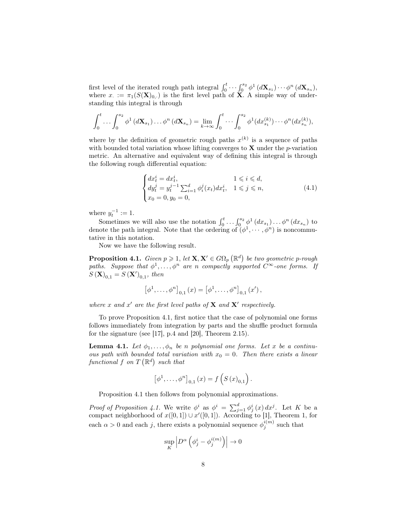first level of the iterated rough path integral  $\int_0^t \cdots \int_0^{s_2} \phi^1(d\mathbf{X}_{s_1}) \cdots \phi^n(d\mathbf{X}_{s_n}),$ where  $x_{\cdot} := \pi_1(S(\mathbf{X})_{0,\cdot})$  is the first level path of **X**. A simple way of understanding this integral is through

$$
\int_0^t \ldots \int_0^{s_2} \phi^1(d\mathbf{X}_{s_1}) \ldots \phi^n(d\mathbf{X}_{s_n}) = \lim_{k \to \infty} \int_0^t \ldots \int_0^{s_2} \phi^1(dx_{s_1}^{(k)}) \cdots \phi^n(dx_{s_n}^{(k)}),
$$

where by the definition of geometric rough paths  $x^{(k)}$  is a sequence of paths with bounded total variation whose lifting converges to  $X$  under the *p*-variation metric. An alternative and equivalent way of defining this integral is through the following rough differential equation:

$$
\begin{cases}\n dx_t^i = dx_t^i, & 1 \leq i \leq d, \\
 dy_t^j = y_t^{j-1} \sum_{i=1}^d \phi_i^j(x_t) dx_t^i, & 1 \leq j \leq n, \\
 x_0 = 0, y_0 = 0,\n\end{cases} \tag{4.1}
$$

where  $y_t^{-1} := 1$ .

Sometimes we will also use the notation  $\int_0^t \dots \int_0^{s_2} \phi^1(dx_{s_1}) \dots \phi^n(dx_{s_n})$  to denote the path integral. Note that the ordering of  $(\phi^1, \dots, \phi^n)$  is noncommutative in this notation.

Now we have the following result.

**Proposition 4.1.** Given  $p \geq 1$ , let  $X, X' \in G\Omega_p(\mathbb{R}^d)$  be two geometric p-rough paths. Suppose that  $\phi^1, \ldots, \phi^n$  are n compactly supported  $C^{\infty}$ -one forms. If  $S(\mathbf{X})_{0,1} = S(\mathbf{X}')_{0,1}$ , then

$$
\left[\phi^{1}, \ldots, \phi^{n}\right]_{0,1}(x) = \left[\phi^{1}, \ldots, \phi^{n}\right]_{0,1}(x'),
$$

where x and x' are the first level paths of  $X$  and  $X'$  respectively.

To prove Proposition 4.1, first notice that the case of polynomial one forms follows immediately from integration by parts and the shuffle product formula for the signature (see [17], p.4 and [20], Theorem 2.15).

**Lemma 4.1.** Let  $\phi_1, \ldots, \phi_n$  be n polynomial one forms. Let x be a continuous path with bounded total variation with  $x_0 = 0$ . Then there exists a linear functional f on  $T(\mathbb{R}^d)$  such that

$$
[\phi^{1}, \ldots, \phi^{n}]_{0,1}(x) = f(S(x)_{0,1}).
$$

Proposition 4.1 then follows from polynomial approximations.

Proof of Proposition 4.1. We write  $\phi^i$  as  $\phi^i = \sum_{j=1}^d \phi^i_j(x) dx^j$ . Let K be a compact neighborhood of  $x([0,1]) \cup x'([0,1])$ . According to [1], Theorem 1, for each  $\alpha > 0$  and each j, there exists a polynomial sequence  $\phi_j^{i(m)}$  such that

$$
\sup_K \left| D^{\alpha} \left( \phi_j^i - \phi_j^{i(m)} \right) \right| \to 0
$$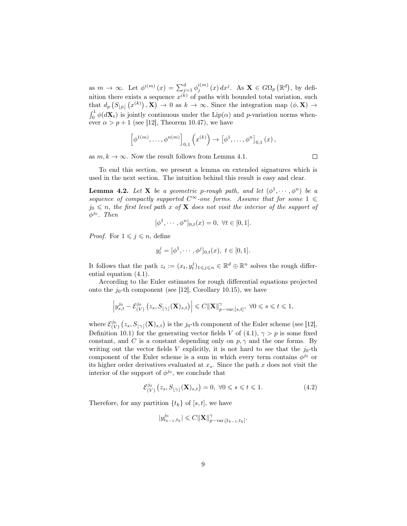as  $m \to \infty$ . Let  $\phi^{i(m)}(x) = \sum_{j=1}^d \phi_j^{i(m)}(x) dx^j$ . As  $\mathbf{X} \in G\Omega_p(\mathbb{R}^d)$ , by definition there exists a sequence  $x^{(k)}$  of paths with bounded total variation, such that  $d_p(S_{[p]}(x^{(k)}), \mathbf{X}) \to 0$  as  $k \to \infty$ . Since the integration map  $(\phi, \mathbf{X}) \to$  $\int_0^1 \phi(d\mathbf{X}_t)$  is jointly continuous under the Lip( $\alpha$ ) and p-variation norms whenever  $\alpha > p + 1$  (see [12], Theorem 10.47), we have

$$
\left[\phi^{1(m)},\ldots,\phi^{n(m)}\right]_{0,1}\left(x^{(k)}\right)\to\left[\phi^1,\ldots,\phi^n\right]_{0,1}(x),
$$

as  $m, k \to \infty$ . Now the result follows from Lemma 4.1.

 $\Box$ 

To end this section, we present a lemma on extended signatures which is used in the next section. The intuition behind this result is easy and clear.

**Lemma 4.2.** Let **X** be a geometric p-rough path, and let  $(\phi^1, \dots, \phi^n)$  be a sequence of compactly supported  $C^{\infty}$ -one forms. Assume that for some  $1 \leq$  $j_0 \leq n$ , the first level path x of **X** does not visit the interior of the support of  $\phi^{j_0}$ . Then

$$
[\phi^1, \cdots, \phi^n]_{0,t}(x) = 0, \ \forall t \in [0,1].
$$

*Proof.* For  $1 \leq j \leq n$ , define

$$
y_t^j = [\phi^1, \cdots, \phi^j]_{0,t}(x), \ t \in [0,1].
$$

It follows that the path  $z_t := (x_t, y_t^j)_{1 \leqslant j \leqslant n} \in \mathbb{R}^d \oplus \mathbb{R}^n$  solves the rough differential equation (4.1).

According to the Euler estimates for rough differential equations projected onto the  $j_0$ -th component (see [12], Corollary 10.15), we have

$$
\left|y_{s,t}^{j_0}-\mathcal{E}_{(V)}^{j_0}\left(z_s,S_{\lfloor\gamma\rfloor}(\mathbf{X})_{s,t}\right)\right|\leqslant C\|\mathbf{X}\|_{p-\text{var};[s,t]}^{\gamma},\ \forall 0\leqslant s\leqslant t\leqslant 1,
$$

where  $\mathcal{E}^{j_0}_{(V)}(z_s, S_{\lfloor \gamma \rfloor}(\mathbf{X})_{s,t})$  is the j<sub>0</sub>-th component of the Euler scheme (see [12], Definition 10.1) for the generating vector fields V of  $(4.1)$ ,  $\gamma > p$  is some fixed constant, and C is a constant depending only on  $p, \gamma$  and the one forms. By writing out the vector fields  $V$  explicitly, it is not hard to see that the  $j_0$ -th component of the Euler scheme is a sum in which every term contains  $\phi^{j_0}$  or its higher order derivatives evaluated at  $x_s$ . Since the path  $x$  does not visit the interior of the support of  $\phi^{j_0}$ , we conclude that

$$
\mathcal{E}^{j_0}_{(V)}\left(z_s, S_{\lfloor \gamma \rfloor}(\mathbf{X})_{s,t}\right) = 0, \ \forall 0 \leq s \leq t \leq 1. \tag{4.2}
$$

Therefore, for any partition  $\{t_k\}$  of  $[s, t]$ , we have

$$
|y_{t_{k-1},t_k}^{j_0}| \leqslant C \|\mathbf{X}\|_{p-\text{var};[t_{k-1},t_k]}^{\gamma}.
$$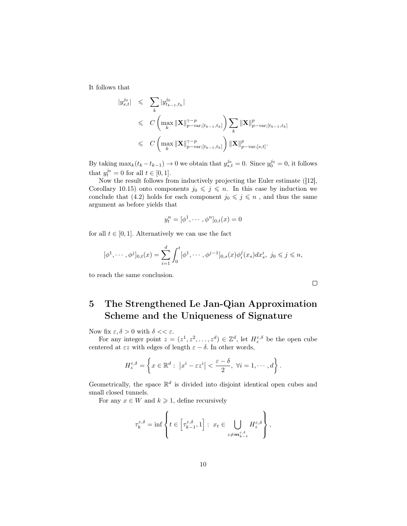It follows that

$$
|y_{s,t}^{j_0}| \leqslant \sum_{k} |y_{t_{k-1},t_k}^{j_0}|
$$
  
\n
$$
\leqslant C \left( \max_{k} \|\mathbf{X}\|_{p-\text{var};[t_{k-1},t_k]}^{\gamma-p} \right) \sum_{k} \|\mathbf{X}\|_{p-\text{var};[t_{k-1},t_k]}^p
$$
  
\n
$$
\leqslant C \left( \max_{k} \|\mathbf{X}\|_{p-\text{var};[t_{k-1},t_k]}^{\gamma-p} \right) \|\mathbf{X}\|_{p-\text{var};[s,t]}^p.
$$

By taking  $\max_k(t_k - t_{k-1}) \to 0$  we obtain that  $y_{s,t}^{j_0} = 0$ . Since  $y_0^{j_0} = 0$ , it follows that  $y_t^{j_0} = 0$  for all  $t \in [0, 1]$ .

Now the result follows from inductively projecting the Euler estimate ([12], Corollary 10.15) onto components  $j_0 \leq j \leq n$ . In this case by induction we conclude that (4.2) holds for each component  $j_0\leqslant j\leqslant n$  , and thus the same argument as before yields that

$$
y_t^n = [\phi^1, \cdots, \phi^n]_{0,t}(x) = 0
$$

for all  $t \in [0, 1]$ . Alternatively we can use the fact

$$
[\phi^1, \cdots, \phi^j]_{0,t}(x) = \sum_{i=1}^d \int_0^t [\phi^1, \cdots, \phi^{j-1}]_{0,s}(x) \phi_i^j(x_s) dx_s^i, \ j_0 \leq j \leq n,
$$

to reach the same conclusion.

5 The Strengthened Le Jan-Qian Approximation Scheme and the Uniqueness of Signature

Now fix  $\varepsilon, \delta > 0$  with  $\delta \ll \varepsilon$ .

For any integer point  $z = (z^1, z^2, \dots, z^d) \in \mathbb{Z}^d$ , let  $H_z^{\varepsilon, \delta}$  be the open cube centered at  $\epsilon z$  with edges of length  $\varepsilon - \delta$ . In other words,

$$
H_z^{\varepsilon,\delta} = \left\{ x \in \mathbb{R}^d : \ \left| x^i - \varepsilon z^i \right| < \frac{\varepsilon - \delta}{2}, \ \forall i = 1, \cdots, d \right\}.
$$

Geometrically, the space  $\mathbb{R}^d$  is divided into disjoint identical open cubes and small closed tunnels.

For any  $x \in W$  and  $k \geq 1$ , define recursively

$$
\tau_k^{\varepsilon,\delta} = \inf \left\{ t \in \left[ \tau_{k-1}^{\varepsilon,\delta}, 1 \right] : x_t \in \bigcup_{z \neq \mathbf{m}_{k-1}^{\varepsilon,\delta}} H_z^{\varepsilon,\delta} \right\},\,
$$

 $\Box$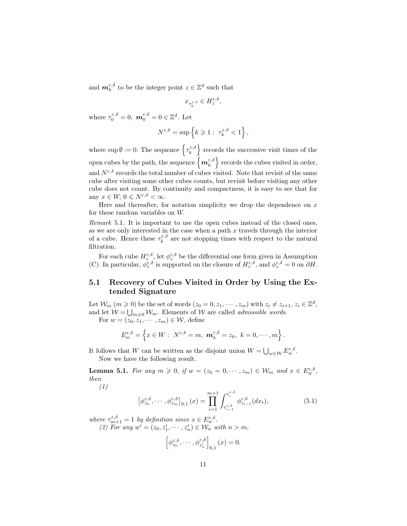and  $\mathbf{m}_{k}^{\varepsilon,\delta}$  to be the integer point  $z \in \mathbb{Z}^{d}$  such that

$$
x_{\tau_k^{\varepsilon,\delta}}\in H_z^{\varepsilon,\delta},
$$

where  $\tau_0^{\varepsilon,\delta} = 0$ ,  $\mathbf{m}_0^{\varepsilon,\delta} = 0 \in \mathbb{Z}^d$ . Let

$$
N^{\varepsilon,\delta}=\sup\left\{k\geqslant 1:\ \tau^{\varepsilon,\delta}_k<1\right\},
$$

where sup  $\emptyset := 0$ . The sequence  $\left\{ \tau_k^{\varepsilon,\delta} \right\}$  records the successive visit times of the open cubes by the path, the sequence  $\left\{ \bm{m}_k^{\varepsilon,\delta} \right\}$  records the cubes visited in order, and  $N^{\varepsilon,\delta}$  records the total number of cubes visited. Note that revisit of the same cube after visiting some other cubes counts, but revisit before visiting any other cube does not count. By continuity and compactness, it is easy to see that for any  $x \in W$ ,  $0 \leqslant N^{\varepsilon,\delta} < \infty$ .

Here and thereafter, for notation simplicity we drop the dependence on  $x$ for these random variables on W.

Remark 5.1. It is important to use the open cubes instead of the closed ones, as we are only interested in the case when a path  $x$  travels through the interior of a cube. Hence these  $\tau_k^{\varepsilon,\delta}$  are not stopping times with respect to the natural filtration.

For each cube  $H_z^{\varepsilon,\delta}$ , let  $\phi_z^{\varepsilon,\delta}$  be the differential one form given in Assumption (C). In particular,  $\phi_z^{\varepsilon,\delta}$  is supported on the closure of  $H_z^{\varepsilon,\delta}$ , and  $\phi_z^{\varepsilon,\delta} = 0$  on  $\partial H$ .

#### 5.1 Recovery of Cubes Visited in Order by Using the Extended Signature

Let  $\mathcal{W}_m$   $(m \ge 0)$  be the set of words  $(z_0 = 0, z_1, \dots, z_m)$  with  $z_i \ne z_{i+1}, z_i \in \mathbb{Z}^d$ , and let  $W = \bigcup_{m\geqslant 0} W_m$ . Elements of W are called *admissible words*.

For  $w = (z_0, z_1, \dots, z_m) \in \mathcal{W}$ , define

$$
E_{w}^{\varepsilon,\delta}=\left\{x\in W:\;N^{\varepsilon,\delta}=m,\;{\boldsymbol m}_k^{\varepsilon,\delta}=z_k,\;k=0,\cdots,m\right\}.
$$

It follows that W can be written as the disjoint union  $W = \bigcup_{w \in \mathcal{W}} E^{\varepsilon,\delta}_w$ . Now we have the following result.

**Lemma 5.1.** For any  $m \ge 0$ , if  $w = (z_0 = 0, \dots, z_m) \in \mathcal{W}_m$  and  $x \in E^{\varepsilon, \delta}_w$ , then

(1)

$$
\left[\phi_{z_0}^{\varepsilon,\delta},\cdots,\phi_{z_m}^{\varepsilon,\delta}\right]_{0,1}(x)=\prod_{i=1}^{m+1}\int_{\tau_{i-1}^{\varepsilon,\delta}}^{\tau_i^{\varepsilon,\delta}}\phi_{z_{i-1}}^{\varepsilon,\delta}(dx_t),\tag{5.1}
$$

where  $\tau_{m+1}^{\varepsilon,\delta} = 1$  by definition since  $x \in E_w^{\varepsilon,\delta}$ . (2) For any  $w' = (z_0, z'_1, \dots, z'_n) \in \mathcal{W}_n$  with  $n > m$ ,

$$
\left[\phi_{z_0}^{\varepsilon,\delta},\cdots,\phi_{z_n'}^{\varepsilon,\delta}\right]_{0,1}(x)=0.
$$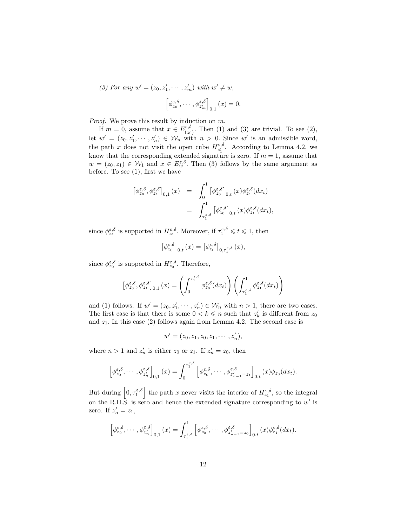(3) For any  $w' = (z_0, z'_1, \cdots, z'_m)$  with  $w' \neq w$ ,  $\left[\phi_{z_0}^{\varepsilon,\delta},\cdots,\phi_{z_m'}^{\varepsilon,\delta}\right]$  $_{0,1}(x)=0.$ 

Proof. We prove this result by induction on  $m$ .

If  $m = 0$ , assume that  $x \in E_{\ell_{\infty}}^{\varepsilon, \delta}$  $(z_0, z_0)$ . Then (1) and (3) are trivial. To see (2), let  $w' = (z_0, z'_1, \dots, z'_n) \in W_n$  with  $n > 0$ . Since w' is an admissible word, the path x does not visit the open cube  $H_{\gamma}^{\varepsilon,\delta}$  $z_1^{\varepsilon,0}$ . According to Lemma 4.2, we know that the corresponding extended signature is zero. If  $m = 1$ , assume that  $w = (z_0, z_1) \in \mathcal{W}_1$  and  $x \in E_w^{\varepsilon, \delta}$ . Then (3) follows by the same argument as before. To see  $(1)$ , first we have

$$
\begin{array}{lcl} \left[\phi^{\varepsilon,\delta}_{z_0},\phi^{\varepsilon,\delta}_{z_1} \right]_{0,1}(x) & = & \displaystyle \int_0^1 \left[\phi^{\varepsilon,\delta}_{z_0} \right]_{0,t}(x) \phi^{\varepsilon,\delta}_{z_1}(dx_t) \\ \\ & = & \displaystyle \int_{\tau^{\varepsilon,\delta}_1}^1 \left[\phi^{\varepsilon,\delta}_{z_0} \right]_{0,t}(x) \phi^{\varepsilon,\delta}_{z_1}(dx_t), \end{array}
$$

since  $\phi_{z_1}^{\varepsilon,\delta}$  is supported in  $H_{z_1}^{\varepsilon,\delta}$ . Moreover, if  $\tau_1^{\varepsilon,\delta} \leq t \leq 1$ , then

$$
\left[\phi_{z_0}^{\varepsilon,\delta}\right]_{0,t}(x)=\left[\phi_{z_0}^{\varepsilon,\delta}\right]_{0,\tau_1^{\varepsilon,\delta}}(x),
$$

since  $\phi_{z_0}^{\varepsilon,\delta}$  is supported in  $H_{z_0}^{\varepsilon,\delta}$ . Therefore,

$$
\left[\phi_{z_0}^{\varepsilon,\delta},\phi_{z_1}^{\varepsilon,\delta}\right]_{0,1}(x)=\left(\int_0^{\tau_1^{\varepsilon,\delta}}\phi_{z_0}^{\varepsilon,\delta}(dx_t)\right)\left(\int_{\tau_1^{\varepsilon,\delta}}^1\phi_{z_1}^{\varepsilon,\delta}(dx_t)\right)
$$

and (1) follows. If  $w' = (z_0, z'_1, \dots, z'_n) \in W_n$  with  $n > 1$ , there are two cases. The first case is that there is some  $0 < k \leq n$  such that  $z'_{k}$  is different from  $z_{0}$ and  $z_1$ . In this case (2) follows again from Lemma 4.2. The second case is

$$
w' = (z_0, z_1, z_0, z_1, \cdots, z'_n),
$$

where  $n > 1$  and  $z'_n$  is either  $z_0$  or  $z_1$ . If  $z'_n = z_0$ , then

$$
\left[\phi_{z_0}^{\varepsilon,\delta},\cdots,\phi_{z_n'}^{\varepsilon,\delta}\right]_{0,1}(x)=\int_0^{\tau_1^{\varepsilon,\delta}}\left[\phi_{z_0}^{\varepsilon,\delta},\cdots,\phi_{z_{n-1}'=z_1}^{\varepsilon,\delta}\right]_{0,t}(x)\phi_{z_0}(dx_t).
$$

But during  $\left[0, \tau_1^{\varepsilon,\delta}\right]$  the path x never visits the interior of  $H_{z_1}^{\varepsilon,\delta}$ , so the integral on the R.H.S. is zero and hence the extended signature corresponding to  $w'$  is zero. If  $z'_n = z_1$ ,

$$
\left[\phi^{\varepsilon,\delta}_{z_0},\cdots,\phi^{\varepsilon,\delta}_{z_n'}\right]_{0,1}(x)=\int_{\tau^{\varepsilon,\delta}_1}\left[\phi^{\varepsilon,\delta}_{z_0},\cdots,\phi^{\varepsilon,\delta}_{z_{n-1}'=z_0}\right]_{0,t}(x)\phi^{\varepsilon,\delta}_{z_1}(dx_t).
$$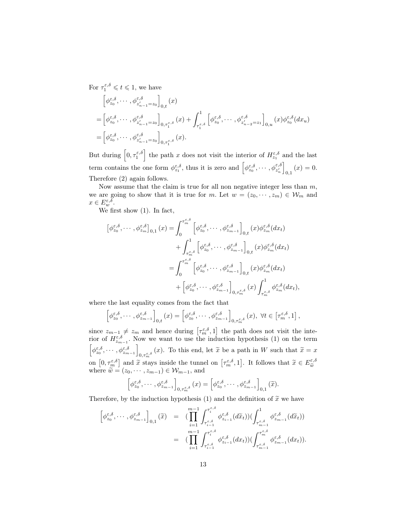For  $\tau_1^{\varepsilon,\delta} \leqslant t \leqslant 1$ , we have

$$
\begin{split}\n&\left[\phi^{\varepsilon,\delta}_{z_0},\cdots,\phi^{\varepsilon,\delta}_{z'_{n-1}=z_0}\right]_{0,t}(x) \\
&=\left[\phi^{\varepsilon,\delta}_{z_0},\cdots,\phi^{\varepsilon,\delta}_{z'_{n-1}=z_0}\right]_{0,\tau^{\varepsilon,\delta}_{1}}(x) + \int_{\tau^{\varepsilon,\delta}_{1}}^{1}\left[\phi^{\varepsilon,\delta}_{z_0},\cdots,\phi^{\varepsilon,\delta}_{z'_{n-2}=z_1}\right]_{0,u}(x)\phi^{\varepsilon,\delta}_{z_0}(dx_u) \\
&=\left[\phi^{\varepsilon,\delta}_{z_0},\cdots,\phi^{\varepsilon,\delta}_{z'_{n-1}=z_0}\right]_{0,\tau^{\varepsilon,\delta}_{1}}(x).\n\end{split}
$$

But during  $\left[0, \tau_1^{\varepsilon,\delta}\right]$  the path x does not visit the interior of  $H_{z_1}^{\varepsilon,\delta}$  and the last term contains the one form  $\phi_{z_1}^{\varepsilon,\delta}$ , thus it is zero and  $\left[\phi_{z_0}^{\varepsilon,\delta},\cdots,\phi_{z_n}^{\varepsilon,\delta}\right]$  $_{0,1}(x)=0.$ Therefore (2) again follows.

Now assume that the claim is true for all non negative integer less than  $m$ , we are going to show that it is true for m. Let  $w = (z_0, \dots, z_m) \in \mathcal{W}_m$  and  $x \in E^{\varepsilon,\delta}_w$ .

We first show (1). In fact,

$$
\begin{split}\n\left[\phi_{z_0}^{\varepsilon,\delta},\cdots,\phi_{z_m}^{\varepsilon,\delta}\right]_{0,1}(x) &= \int_0^{\tau_m^{\varepsilon,\delta}} \left[\phi_{z_0}^{\varepsilon,\delta},\cdots,\phi_{z_{m-1}}^{\varepsilon,\delta}\right]_{0,t}(x)\phi_{z_m}^{\varepsilon,\delta}(dx_t) \\
&\quad + \int_{\tau_m^{\varepsilon,\delta}}^1 \left[\phi_{z_0}^{\varepsilon,\delta},\cdots,\phi_{z_{m-1}}^{\varepsilon,\delta}\right]_{0,t}(x)\phi_{z_m}^{\varepsilon,\delta}(dx_t) \\
&= \int_0^{\tau_m^{\varepsilon,\delta}} \left[\phi_{z_0}^{\varepsilon,\delta},\cdots,\phi_{z_{m-1}}^{\varepsilon,\delta}\right]_{0,t}(x)\phi_{z_m}^{\varepsilon,\delta}(dx_t) \\
&\quad + \left[\phi_{z_0}^{\varepsilon,\delta},\cdots,\phi_{z_{m-1}}^{\varepsilon,\delta}\right]_{0,\tau_m^{\varepsilon,\delta}}(x)\int_{\tau_m^{\varepsilon,\delta}}^1 \phi_{z_m}^{\varepsilon,\delta}(dx_t),\n\end{split}
$$

where the last equality comes from the fact that

$$
\left[\phi^{\varepsilon,\delta}_{z_0},\cdots,\phi^{\varepsilon,\delta}_{z_{m-1}}\right]_{0,t}(x)=\left[\phi^{\varepsilon,\delta}_{z_0},\cdots,\phi^{\varepsilon,\delta}_{z_{m-1}}\right]_{0,\tau^{\varepsilon,\delta}_{m}}(x),\ \forall t\in\left[\tau^{\varepsilon,\delta}_{m},1\right],
$$

since  $z_{m-1} \neq z_m$  and hence during  $\left[\tau_m^{\varepsilon,\delta}, 1\right]$  the path does not visit the interior of  $H_{z_{m-1}}^{\varepsilon,\delta}$ . Now we want to use the induction hypothesis (1) on the term  $\left[\phi_{z_0}^{\varepsilon,\delta},\cdots,\phi_{z_{m-1}}^{\varepsilon,\delta}\right]$  $_{0,\tau_m^{\varepsilon,\delta}}(x)$ . To this end, let  $\widetilde{x}$  be a path in W such that  $\widetilde{x}=x$ on  $[0, \tau_m^{\varepsilon, \delta}]$  and  $\tilde{x}$  stays inside the tunnel on  $[\tau_m^{\varepsilon, \delta}, 1]$ . It follows that  $\tilde{x} \in E_{\tilde{w}}^{\varepsilon, \delta}$ <br>where  $\tilde{w} = (z_0, \dots, z_{m-1}) \in \mathcal{W}_{m-1}$ , and

$$
\left[\phi_{z_0}^{\varepsilon,\delta},\cdots,\phi_{z_{m-1}}^{\varepsilon,\delta}\right]_{0,\tau_m^{\varepsilon,\delta}}(x)=\left[\phi_{z_0}^{\varepsilon,\delta},\cdots,\phi_{z_{m-1}}^{\varepsilon,\delta}\right]_{0,1}(\widetilde{x}).
$$

Therefore, by the induction hypothesis (1) and the definition of  $\tilde{x}$  we have

$$
\begin{array}{rcl} \left[\phi^{\varepsilon,\delta}_{z_0},\cdots,\phi^{\varepsilon,\delta}_{z_{m-1}}\right]_{0,1}(\widetilde{x}) & = & \displaystyle \big(\prod_{i=1}^{m-1}\int_{\tau^{\varepsilon,\delta}_{i-1}}^{\tau^{\varepsilon,\delta}_{i}}\phi^{\varepsilon,\delta}_{z_{i-1}}(d\widetilde{x}_t))\big(\int_{\tau^{\varepsilon,\delta}_{m-1}}^{1}\phi^{\varepsilon,\delta}_{z_{m-1}}(d\widetilde{x}_t)\big) \\ & = & \displaystyle \big(\prod_{i=1}^{m-1}\int_{\tau^{\varepsilon,\delta}_{i-1}}^{\tau^{\varepsilon,\delta}_{i}}\phi^{\varepsilon,\delta}_{z_{i-1}}(dx_t))\big(\int_{\tau^{\varepsilon,\delta}_{m-1}}^{\tau^{\varepsilon,\delta}_{m}}\phi^{\varepsilon,\delta}_{z_{m-1}}(dx_t)\big). \end{array}
$$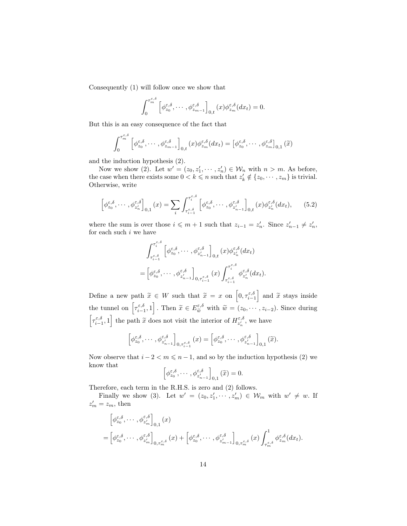Consequently (1) will follow once we show that

$$
\int_0^{\tau_m^{\varepsilon,\delta}} \left[ \phi_{z_0}^{\varepsilon,\delta}, \cdots, \phi_{z_{m-1}}^{\varepsilon,\delta} \right]_{0,t}(x) \phi_{z_m}^{\varepsilon,\delta}(dx_t) = 0.
$$

But this is an easy consequence of the fact that

$$
\int_0^{\tau_m^{\varepsilon,\delta}} \left[ \phi_{z_0}^{\varepsilon,\delta}, \cdots, \phi_{z_{m-1}}^{\varepsilon,\delta} \right]_{0,t}(x) \phi_{z_m}^{\varepsilon,\delta}(dx_t) = \left[ \phi_{z_0}^{\varepsilon,\delta}, \cdots, \phi_{z_m}^{\varepsilon,\delta} \right]_{0,1}(\widetilde{x})
$$

and the induction hypothesis (2).

Now we show (2). Let  $w' = (z_0, z'_1, \dots, z'_n) \in \mathcal{W}_n$  with  $n > m$ . As before, the case when there exists some  $0 < k \leq n$  such that  $z'_{k} \notin \{z_0, \dots, z_m\}$  is trivial. Otherwise, write

$$
\left[\phi_{z_0}^{\varepsilon,\delta},\cdots,\phi_{z_n'}^{\varepsilon,\delta}\right]_{0,1}(x)=\sum_i\int_{\tau_{i-1}^{\varepsilon,\delta}}^{\tau_i^{\varepsilon,\delta}}\left[\phi_{z_0}^{\varepsilon,\delta},\cdots,\phi_{z_{n-1}}^{\varepsilon,\delta}\right]_{0,t}(x)\phi_{z_n'}^{\varepsilon,\delta}(dx_t),\qquad(5.2)
$$

where the sum is over those  $i \leq m+1$  such that  $z_{i-1} = z'_{n}$ . Since  $z'_{n-1} \neq z'_{n}$ , for each such  $i$  we have

$$
\int_{\tau_{i-1}^{\varepsilon,\delta}}^{\tau_i^{\varepsilon,\delta}} \left[ \phi_{z_0}^{\varepsilon,\delta},\cdots,\phi_{z_{n-1}}^{\varepsilon,\delta} \right]_{0,t}(x) \phi_{z_n'}^{\varepsilon,\delta}(dx_t) \n= \left[ \phi_{z_0}^{\varepsilon,\delta},\cdots,\phi_{z_{n-1}'}^{\varepsilon,\delta} \right]_{0,\tau_{i-1}^{\varepsilon,\delta}}(x) \int_{\tau_{i-1}^{\varepsilon,\delta}}^{\tau_i^{\varepsilon,\delta}} \phi_{z_n'}^{\varepsilon,\delta}(dx_t).
$$

Define a new path  $\tilde{x} \in W$  such that  $\tilde{x} = x$  on  $\left[0, \tau_{i-1}^{\varepsilon, \delta}\right]$  and  $\tilde{x}$  stays inside the tunnel on  $\left[\tau_{i-1}^{\varepsilon,\delta}, 1\right]$ . Then  $\widetilde{x} \in E_{\widetilde{w}}^{\varepsilon,\delta}$  with  $\widetilde{w} = (z_0, \dots, z_{i-2})$ . Since during  $\left[\tau_{i-1}^{\varepsilon,\delta}, 1\right]$  the path  $\widetilde{x}$  does not visit the interior of  $H_{z_n'}^{\varepsilon,\delta}$ , we have

$$
\left[\phi^{\varepsilon,\delta}_{z_0},\cdots,\phi^{\varepsilon,\delta}_{z'_{n-1}}\right]_{0,\tau^{\varepsilon,\delta}_{i-1}}(x)=\left[\phi^{\varepsilon,\delta}_{z_0},\cdots,\phi^{\varepsilon,\delta}_{z'_{n-1}}\right]_{0,1}(\widetilde{x}).
$$

Now observe that  $i - 2 < m \leq n - 1$ , and so by the induction hypothesis (2) we know that

$$
\left[\phi_{z_0}^{\varepsilon,\delta},\cdots,\phi_{z_{n-1}}^{\varepsilon,\delta}\right]_{0,1}(\widetilde{x})=0.
$$

Therefore, each term in the R.H.S. is zero and (2) follows.

Finally we show (3). Let  $w' = (z_0, z'_1, \dots, z'_m) \in \mathcal{W}_m$  with  $w' \neq w$ . If  $z'_m = z_m$ , then

$$
\begin{split} &\left[\phi_{z_0}^{\varepsilon,\delta},\cdots,\phi_{z_m^{\prime}}^{\varepsilon,\delta}\right]_{0,1}(x) \\ &=\left[\phi_{z_0}^{\varepsilon,\delta},\cdots,\phi_{z_m^{\prime}}^{\varepsilon,\delta}\right]_{0,\tau_m^{\varepsilon,\delta}}(x) + \left[\phi_{z_0}^{\varepsilon,\delta},\cdots,\phi_{z_{m-1}}^{\varepsilon,\delta}\right]_{0,\tau_m^{\varepsilon,\delta}}(x) \int_{\tau_m^{\varepsilon,\delta}}^1 \phi_{z_m}^{\varepsilon,\delta}(dx_t). \end{split}
$$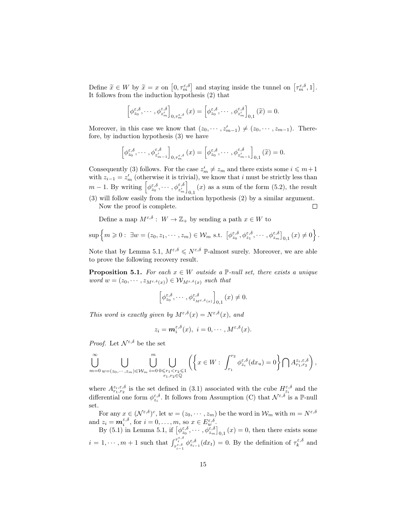Define  $\tilde{x} \in W$  by  $\tilde{x} = x$  on  $[0, \tau_{m}^{\varepsilon, \delta}]$  and staying inside the tunnel on  $[\tau_{m}^{\varepsilon, \delta}, 1]$ .<br>It follows from the induction hypothosis (2) that It follows from the induction hypothesis (2) that

$$
\left[\phi_{z_0}^{\varepsilon,\delta},\cdots,\phi_{z_m^{\prime}}^{\varepsilon,\delta}\right]_{0,\tau_m^{\varepsilon,\delta}}(x)=\left[\phi_{z_0}^{\varepsilon,\delta},\cdots,\phi_{z_m^{\prime}}^{\varepsilon,\delta}\right]_{0,1}(\widetilde{x})=0.
$$

Moreover, in this case we know that  $(z_0, \dots, z'_{m-1}) \neq (z_0, \dots, z_{m-1})$ . Therefore, by induction hypothesis (3) we have

$$
\left[\phi^{\varepsilon,\delta}_{z_0},\cdots,\phi^{\varepsilon,\delta}_{z_{m-1}'}\right]_{0,\tau^{\varepsilon,\delta}_{m}}(x)=\left[\phi^{\varepsilon,\delta}_{z_0},\cdots,\phi^{\varepsilon,\delta}_{z_{m-1}'}\right]_{0,1}(\widetilde{x})=0.
$$

Consequently (3) follows. For the case  $z'_m \neq z_m$  and there exists some  $i \leq m+1$ with  $z_{i-1} = z'_{m}$  (otherwise it is trivial), we know that i must be strictly less than  $m-1$ . By writing  $\left[\phi_{z_0}^{\varepsilon,\delta},\cdots,\phi_{z_m'}^{\varepsilon,\delta}\right]$  $_{0,1}(x)$  as a sum of the form  $(5.2)$ , the result (3) will follow easily from the induction hypothesis (2) by a similar argument. Now the proof is complete.  $\Box$ 

Define a map  $M^{\varepsilon,\delta}: W \to \mathbb{Z}_+$  by sending a path  $x \in W$  to

$$
\sup\left\{m\geqslant 0:\ \exists w=(z_0,z_1,\cdots,z_m)\in\mathcal{W}_m\text{ s.t. }\left[\phi^{\varepsilon,\delta}_{z_0},\phi^{\varepsilon,\delta}_{z_1},\cdots,\phi^{\varepsilon,\delta}_{z_m}\right]_{0,1}(x)\neq 0\right\}.
$$

Note that by Lemma 5.1,  $M^{\varepsilon,\delta} \leq N^{\varepsilon,\delta}$  P-almost surely. Moreover, we are able to prove the following recovery result.

**Proposition 5.1.** For each  $x \in W$  outside a P-null set, there exists a unique word  $w = (z_0, \dots, z_{M^{\varepsilon, \delta}(x)}) \in \mathcal{W}_{M^{\varepsilon, \delta}(x)}$  such that

$$
\left[\phi_{z_0}^{\varepsilon,\delta},\cdots,\phi_{z_{M^{\varepsilon,\delta}(x)}}^{\varepsilon,\delta}\right]_{0,1}(x)\neq 0.
$$

This word is exactly given by  $M^{\varepsilon,\delta}(x) = N^{\varepsilon,\delta}(x)$ , and

$$
z_i = \mathbf{m}_i^{\varepsilon,\delta}(x), \ i = 0, \cdots, M^{\varepsilon,\delta}(x).
$$

*Proof.* Let  $\mathcal{N}^{\varepsilon,\delta}$  be the set

$$
\bigcup_{m=0}^{\infty}\bigcup_{w=(z_0,\cdots,z_m)\in \mathcal{W}_m}\bigcup_{i=0}^{m}\bigcup_{\substack{0\leq r_1
$$

where  $A_{r_1,r_2}^{z_i,\varepsilon,\delta}$  is the set defined in (3.1) associated with the cube  $H_{z_i}^{\varepsilon,\delta}$  and the differential one form  $\phi_{z_i}^{\varepsilon,\delta}$ . It follows from Assumption (C) that  $\mathcal{N}^{\varepsilon,\delta}$  is a P-null set.

For any  $x \in (\mathcal{N}^{\varepsilon,\delta})^c$ , let  $w = (z_0, \cdots, z_m)$  be the word in  $\mathcal{W}_m$  with  $m = N^{\varepsilon,\delta}$ and  $z_i = \mathbf{m}_i^{\varepsilon,\delta}$ , for  $i = 0, \ldots, m$ , so  $x \in E_w^{\varepsilon,\delta}$ .

By (5.1) in Lemma 5.1, if  $\left[\phi_{z_0}^{\varepsilon,\delta},\cdots,\phi_{z_m}^{\varepsilon,\delta}\right]_{0,1}(x)=0$ , then there exists some  $i = 1, \dots, m + 1$  such that  $\int_{\tau_{i-1}^{\varepsilon,\delta}}^{\tau_i^{\varepsilon,\delta}} \phi_{z_{i-1}}^{\varepsilon,\delta}(dx_t) = 0$ . By the definition of  $\tau_k^{\varepsilon,\delta}$  and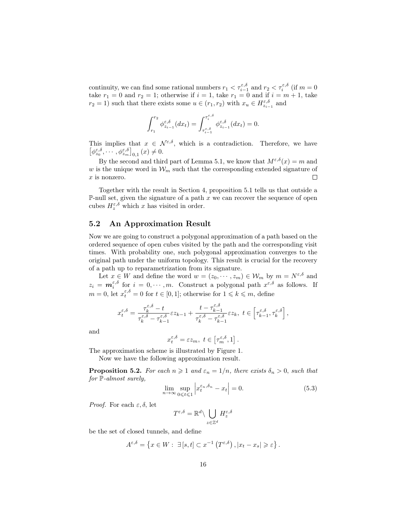continuity, we can find some rational numbers  $r_1 < \tau_{i-1}^{\varepsilon,\delta}$  and  $r_2 < \tau_i^{\varepsilon,\delta}$  (if  $m = 0$ take  $r_1 = 0$  and  $r_2 = 1$ ; otherwise if  $i = 1$ , take  $r_1 = 0$  and if  $i = m + 1$ , take  $r_2 = 1$ ) such that there exists some  $u \in (r_1, r_2)$  with  $x_u \in H_{z_{i-1}}^{\varepsilon, \delta}$  and

$$
\int_{r_1}^{r_2} \phi_{z_{i-1}}^{\varepsilon,\delta}(dx_t) = \int_{\tau_{i-1}^{\varepsilon,\delta}}^{\tau_i^{\varepsilon,\delta}} \phi_{z_{i-1}}^{\varepsilon,\delta}(dx_t) = 0.
$$

This implies that  $x \in \mathcal{N}^{\varepsilon,\delta}$ , which is a contradiction. Therefore, we have  $\left[\phi_{z_0}^{\varepsilon,\delta},\cdots,\phi_{z_m}^{\varepsilon,\delta}\right]_{0,1}(x)\neq 0.$ 

By the second and third part of Lemma 5.1, we know that  $M^{\varepsilon,\delta}(x) = m$  and w is the unique word in  $\mathcal{W}_m$  such that the corresponding extended signature of x is nonzero.  $\Box$ 

Together with the result in Section 4, proposition 5.1 tells us that outside a P-null set, given the signature of a path  $x$  we can recover the sequence of open cubes  $H_z^{\varepsilon,\delta}$  which x has visited in order.

#### 5.2 An Approximation Result

Now we are going to construct a polygonal approximation of a path based on the ordered sequence of open cubes visited by the path and the corresponding visit times. With probability one, such polygonal approximation converges to the original path under the uniform topology. This result is crucial for the recovery of a path up to reparametrization from its signature.

Let  $x \in W$  and define the word  $w = (z_0, \dots, z_m) \in \mathcal{W}_m$  by  $m = N^{\varepsilon, \delta}$  and  $z_i = \boldsymbol{m}_i^{\varepsilon,\delta}$  for  $i = 0, \dots, m$ . Construct a polygonal path  $x^{\varepsilon,\delta}$  as follows. If  $m = 0$ , let  $x_t^{\varepsilon, \delta} = 0$  for  $t \in [0, 1]$ ; otherwise for  $1 \leq k \leq m$ , define

$$
x^{\varepsilon,\delta}_t=\frac{\tau^{\varepsilon,\delta}_k-t}{\tau^{\varepsilon,\delta}_k-\tau^{\varepsilon,\delta}_{k-1}}\varepsilon z_{k-1}+\frac{t-\tau^{\varepsilon,\delta}_{k-1}}{\tau^{\varepsilon,\delta}_k-\tau^{\varepsilon,\delta}_{k-1}}\varepsilon z_k,\ t\in\left[\tau^{\varepsilon,\delta}_{k-1},\tau^{\varepsilon,\delta}_k\right],
$$

and

 $x_t^{\varepsilon,\delta} = \varepsilon z_m, t \in [\tau_m^{\varepsilon,\delta}, 1].$ 

The approximation scheme is illustrated by Figure 1.

Now we have the following approximation result.

**Proposition 5.2.** For each  $n \geq 1$  and  $\varepsilon_n = 1/n$ , there exists  $\delta_n > 0$ , such that for P-almost surely,

$$
\lim_{n \to \infty} \sup_{0 \le t \le 1} \left| x_t^{\varepsilon_n, \delta_n} - x_t \right| = 0. \tag{5.3}
$$

*Proof.* For each  $\varepsilon, \delta$ , let

$$
T^{\varepsilon,\delta}=\mathbb{R}^d\backslash \bigcup_{z\in\mathbb{Z}^d}H_z^{\varepsilon,\delta}
$$

be the set of closed tunnels, and define

$$
A^{\varepsilon,\delta} = \left\{ x \in W : \ \exists \left[ s,t \right] \subset x^{-1} \left( T^{\varepsilon,\delta} \right), \left| x_t - x_s \right| \geqslant \varepsilon \right\}.
$$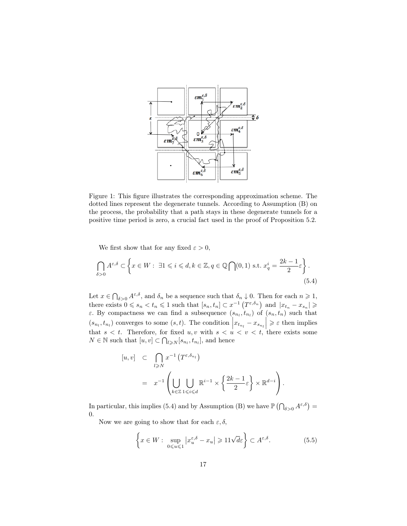

Figure 1: This figure illustrates the corresponding approximation scheme. The dotted lines represent the degenerate tunnels. According to Assumption (B) on the process, the probability that a path stays in these degenerate tunnels for a positive time period is zero, a crucial fact used in the proof of Proposition 5.2.

We first show that for any fixed  $\varepsilon > 0$ ,

$$
\bigcap_{\delta>0} A^{\varepsilon,\delta} \subset \left\{ x \in W : \ \exists 1 \leqslant i \leqslant d, k \in \mathbb{Z}, q \in \mathbb{Q} \bigcap (0,1) \text{ s.t. } x_q^i = \frac{2k-1}{2} \varepsilon \right\}.
$$
\n
$$
(5.4)
$$

Let  $x \in \bigcap_{\delta>0} A^{\varepsilon,\delta}$ , and  $\delta_n$  be a sequence such that  $\delta_n \downarrow 0$ . Then for each  $n \geqslant 1$ , there exists  $0 \leq s_n < t_n \leq 1$  such that  $[s_n, t_n] \subset x^{-1} \left( T^{\varepsilon, \delta_n} \right)$  and  $|x_{t_n} - x_{s_n}| \geq 1$ *ε*. By compactness we can find a subsequence  $(s_{n_l}, t_{n_l})$  of  $(s_n, t_n)$  such that  $(s_{n_l}, t_{n_l})$  converges to some  $(s, t)$ . The condition  $\left| x_{t_{n_l}} - x_{s_{n_l}} \right| \geqslant \varepsilon$  then implies that  $s < t$ . Therefore, for fixed  $u, v$  with  $s < u < v < t$ , there exists some  $N \in \mathbb{N}$  such that  $[u, v] \subset \bigcap_{l \geq N} [s_{n_l}, t_{n_l}],$  and hence

$$
[u, v] \subset \bigcap_{l \geq N} x^{-1} (T^{\varepsilon, \delta_{n_l}})
$$
  
=  $x^{-1} \left( \bigcup_{k \in \mathbb{Z}} \bigcup_{1 \leq i \leq d} \mathbb{R}^{i-1} \times \left\{ \frac{2k - 1}{2} \varepsilon \right\} \times \mathbb{R}^{d-i} \right).$ 

In particular, this implies (5.4) and by Assumption (B) we have  $\mathbb{P}(\bigcap_{\delta>0} A^{\varepsilon,\delta}) =$ 0.

Now we are going to show that for each  $\varepsilon, \delta$ ,

$$
\left\{ x \in W : \sup_{0 \le u \le 1} |x_u^{\varepsilon,\delta} - x_u| \ge 11\sqrt{d\varepsilon} \right\} \subset A^{\varepsilon,\delta}.
$$
 (5.5)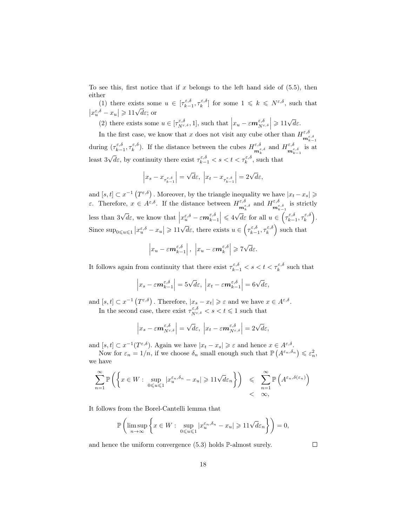To see this, first notice that if x belongs to the left hand side of  $(5.5)$ , then either

(1) there exists some  $u \in [\tau_{k-1}^{\varepsilon,\delta}, \tau_k^{\varepsilon,\delta}]$  for some  $1 \leq k \leq N^{\varepsilon,\delta}$ , such that  $|x_u^{\varepsilon,\delta} - x_u| \geq 11\sqrt{d\varepsilon}$ ; or

(2) there exists some  $u \in [\tau_{N^{\varepsilon,\delta}}^{\varepsilon,\delta}, 1]$ , such that  $|x_u - \varepsilon m_{N^{\varepsilon,\delta}}^{\varepsilon,\delta}| \geq 11\sqrt{d}\varepsilon$ .  $\overline{\phantom{a}}$ 

In the first case, we know that x does not visit any cube other than  $H_{\mathbf{m}_{k-1}^{\varepsilon,\delta}}^{\varepsilon,\delta}$ during  $(\tau_{k-1}^{\varepsilon,\delta},\tau_k^{\varepsilon,\delta})$ . If the distance between the cubes  $H_{\mathbf{m}_{k}^{\varepsilon,\delta}}^{\varepsilon,\delta}$  and  $H_{\mathbf{m}_{k-1}^{\varepsilon,\delta}}^{\varepsilon,\delta}$  is at least 3 √  $\overline{d}\varepsilon$ , by continuity there exist  $\tau_{k-1}^{\varepsilon,\delta} < s < t < \tau_k^{\varepsilon,\delta}$ , such that

$$
\Big|x_s-x_{\tau^{\varepsilon,\delta}_{k-1}}\Big|=\sqrt{d}\varepsilon,\ \Big|x_t-x_{\tau^{\varepsilon,\delta}_{k-1}}\Big|=2\sqrt{d}\varepsilon,
$$

and  $[s, t] \subset x^{-1} (T^{\varepsilon, \delta})$ . Moreover, by the triangle inequality we have  $|x_t - x_s| \geq$ ε. Therefore,  $x \in A^{\varepsilon,\delta}$ . If the distance between  $H^{\varepsilon,\delta}_{\mathbf{m}^{\varepsilon,\delta}_{k}}$  and  $H^{\varepsilon,\delta}_{\mathbf{m}^{\varepsilon,\delta}_{k-1}}$  is strictly less than 3 √  $\overline{d}\varepsilon$ , we know that  $\left| x_u^{\varepsilon,\delta} - \varepsilon m_{k-1}^{\varepsilon,\delta} \right| \leqslant 4\sqrt{\varepsilon}$  $\overline{d}\varepsilon$  for all  $u \in \left(\tau_{k-1}^{\varepsilon,\delta}, \tau_k^{\varepsilon,\delta}\right)$ . Since  $\sup_{0\leq u\leq 1} |x_u^{\varepsilon,\delta} - x_u| \geq 11\sqrt{d\varepsilon}$ , there exists  $u \in \left(\tau_{k-1}^{\varepsilon,\delta}, \tau_k^{\varepsilon,\delta}\right)$  such that

$$
\left|x_u - \varepsilon m_{k-1}^{\varepsilon,\delta}\right|, \left|x_u - \varepsilon m_k^{\varepsilon,\delta}\right| \geqslant 7\sqrt{d}\varepsilon.
$$

It follows again from continuity that there exist  $\tau_{k-1}^{\varepsilon,\delta} < s < t < \tau_k^{\varepsilon,\delta}$  such that

$$
\left|x_s - \varepsilon \mathbf{m}_{k-1}^{\varepsilon,\delta}\right| = 5\sqrt{d\varepsilon}, \left|x_t - \varepsilon \mathbf{m}_{k-1}^{\varepsilon,\delta}\right| = 6\sqrt{d\varepsilon},
$$

and  $[s, t] \subset x^{-1}(T^{\varepsilon,\delta})$ . Therefore,  $|x_s - x_t| \geqslant \varepsilon$  and we have  $x \in A^{\varepsilon,\delta}$ .

In the second case, there exist  $\tau_{N^{\varepsilon,\delta}}^{\varepsilon,\delta} < s < t \leq 1$  such that

$$
\left|x_s - \varepsilon \mathbf{m}_{N^{\varepsilon,\delta}}^{\varepsilon,\delta}\right| = \sqrt{d}\varepsilon, \ \left|x_t - \varepsilon \mathbf{m}_{N^{\varepsilon,\delta}}^{\varepsilon,\delta}\right| = 2\sqrt{d}\varepsilon,
$$

and  $[s, t] \subset x^{-1}(T^{\varepsilon, \delta})$ . Again we have  $|x_t - x_s| \geqslant \varepsilon$  and hence  $x \in A^{\varepsilon, \delta}$ .

Now for  $\varepsilon_n = 1/n$ , if we choose  $\delta_n$  small enough such that  $\mathbb{P}(A^{\varepsilon_n,\delta_n}) \leqslant \varepsilon_n^2$ , we have

$$
\sum_{n=1}^{\infty} \mathbb{P}\left( \left\{ x \in W : \sup_{0 \le u \le 1} |x_u^{\varepsilon_n, \delta_n} - x_u| \ge 11\sqrt{d\varepsilon_n} \right\} \right) \le \sum_{n=1}^{\infty} \mathbb{P}\left( A^{\varepsilon_n, \delta(\varepsilon_n)} \right) < \infty,
$$

It follows from the Borel-Cantelli lemma that

$$
\mathbb{P}\left(\limsup_{n\to\infty}\left\{x\in W:\sup_{0\leqslant u\leqslant 1}|x_u^{\varepsilon_n,\delta_n}-x_u|\geqslant 11\sqrt{d}\varepsilon_n\right\}\right)=0,
$$

and hence the uniform convergence (5.3) holds P-almost surely.

 $\Box$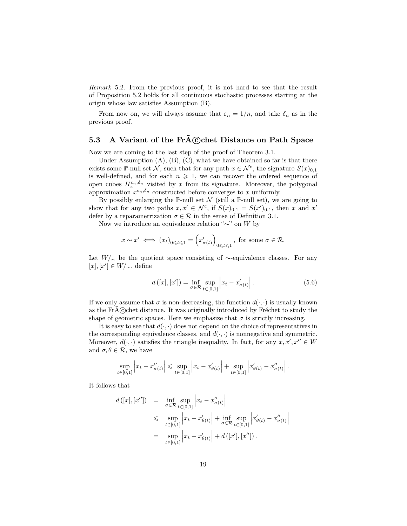Remark 5.2. From the previous proof, it is not hard to see that the result of Proposition 5.2 holds for all continuous stochastic processes starting at the origin whose law satisfies Assumption (B).

From now on, we will always assume that  $\varepsilon_n = 1/n$ , and take  $\delta_n$  as in the previous proof.

## 5.3 A Variant of the  $\widehat{Fr} \widetilde{A} \widehat{C}$ chet Distance on Path Space

Now we are coming to the last step of the proof of Theorem 3.1.

Under Assumption  $(A)$ ,  $(B)$ ,  $(C)$ , what we have obtained so far is that there exists some P-null set  $\mathcal{N}$ , such that for any path  $x \in \mathcal{N}^c$ , the signature  $S(x)_{0,1}$ is well-defined, and for each  $n \geq 1$ , we can recover the ordered sequence of open cubes  $H_z^{\varepsilon_n,\delta_n}$  visited by x from its signature. Moreover, the polygonal approximation  $x^{\varepsilon_n,\delta_n}$  constructed before converges to x uniformly.

By possibly enlarging the P-null set  $\mathcal N$  (still a P-null set), we are going to show that for any two paths  $x, x' \in \mathcal{N}^c$ , if  $S(x)_{0,1} = S(x')_{0,1}$ , then x and x' defer by a reparametrization  $\sigma \in \mathcal{R}$  in the sense of Definition 3.1.

Now we introduce an equivalence relation "∼" on W by

$$
x \sim x' \iff (x_t)_{0 \leq t \leq 1} = (x'_{\sigma(t)})_{0 \leq t \leq 1}
$$
, for some  $\sigma \in \mathcal{R}$ .

Let  $W/\sim$  be the quotient space consisting of ∼-equivalence classes. For any  $[x], [x'] \in W/{\sim}$ , define

$$
d([x],[x']) = \inf_{\sigma \in \mathcal{R}} \sup_{t \in [0,1]} |x_t - x'_{\sigma(t)}|.
$$
 (5.6)

If we only assume that  $\sigma$  is non-decreasing, the function  $d(\cdot, \cdot)$  is usually known as the  $\text{Fr}\hat{A}$  $\text{C}$ chet distance. It was originally introduced by Fréchet to study the shape of geometric spaces. Here we emphasize that  $\sigma$  is strictly increasing.

It is easy to see that  $d(\cdot, \cdot)$  does not depend on the choice of representatives in the corresponding equivalence classes, and  $d(\cdot, \cdot)$  is nonnegative and symmetric. Moreover,  $d(\cdot, \cdot)$  satisfies the triangle inequality. In fact, for any  $x, x', x'' \in W$ and  $\sigma, \theta \in \mathcal{R}$ , we have

$$
\sup_{t \in [0,1]} \left| x_t - x''_{\sigma(t)} \right| \leq \sup_{t \in [0,1]} \left| x_t - x'_{\theta(t)} \right| + \sup_{t \in [0,1]} \left| x'_{\theta(t)} - x''_{\sigma(t)} \right|.
$$

It follows that

$$
d([x],[x'']) = \inf_{\sigma \in \mathcal{R}} \sup_{t \in [0,1]} |x_t - x''_{\sigma(t)}|
$$
  
\$\leq\$ 
$$
\sup_{t \in [0,1]} |x_t - x'_{\theta(t)}| + \inf_{\sigma \in \mathcal{R}} \sup_{t \in [0,1]} |x'_{\theta(t)} - x''_{\sigma(t)}|
$$
  
= 
$$
\sup_{t \in [0,1]} |x_t - x'_{\theta(t)}| + d([x'], [x''])
$$
.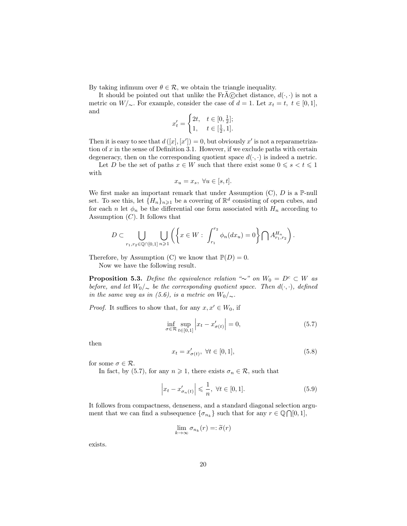By taking infimum over  $\theta \in \mathcal{R}$ , we obtain the triangle inequality.

It should be pointed out that unlike the FrA©chet distance,  $d(\cdot, \cdot)$  is not a metric on  $W/\sim$ . For example, consider the case of  $d = 1$ . Let  $x_t = t$ ,  $t \in [0,1]$ , and

$$
x'_t = \begin{cases} 2t, & t \in [0, \frac{1}{2}]; \\ 1, & t \in [\frac{1}{2}, 1]. \end{cases}
$$

Then it is easy to see that  $d([x],[x'])=0$ , but obviously x' is not a reparametrization of  $x$  in the sense of Definition 3.1. However, if we exclude paths with certain degeneracy, then on the corresponding quotient space  $d(\cdot, \cdot)$  is indeed a metric.

Let D be the set of paths  $x \in W$  such that there exist some  $0 \leq s < t \leq 1$ with

$$
x_u = x_s, \ \forall u \in [s, t].
$$

We first make an important remark that under Assumption  $(C)$ ,  $D$  is a P-null set. To see this, let  $\{H_n\}_{n\geq 1}$  be a covering of  $\mathbb{R}^d$  consisting of open cubes, and for each n let  $\phi_n$  be the differential one form associated with  $H_n$  according to Assumption  $(C)$ . It follows that

$$
D \subset \bigcup_{r_1,r_2 \in \mathbb{Q} \cap [0,1]} \bigcup_{n \geqslant 1} \left( \left\{ x \in W : \int_{r_1}^{r_2} \phi_n(dx_u) = 0 \right\} \bigcap A_{r_1,r_2}^{H_n} \right).
$$

Therefore, by Assumption (C) we know that  $\mathbb{P}(D) = 0$ .

Now we have the following result.

**Proposition 5.3.** Define the equivalence relation "∼" on  $W_0 = D^c \subset W$  as before, and let  $W_0/\sim$  be the corresponding quotient space. Then  $d(\cdot, \cdot)$ , defined in the same way as in (5.6), is a metric on  $W_0/\sim$ .

*Proof.* It suffices to show that, for any  $x, x' \in W_0$ , if

$$
\inf_{\sigma \in \mathcal{R}} \sup_{t \in [0,1]} \left| x_t - x'_{\sigma(t)} \right| = 0,\tag{5.7}
$$

then

$$
x_t = x'_{\sigma(t)}, \ \forall t \in [0, 1], \tag{5.8}
$$

for some  $\sigma \in \mathcal{R}$ .

In fact, by (5.7), for any  $n \ge 1$ , there exists  $\sigma_n \in \mathcal{R}$ , such that

$$
\left| x_t - x'_{\sigma_n(t)} \right| \leqslant \frac{1}{n}, \ \forall t \in [0, 1]. \tag{5.9}
$$

It follows from compactness, denseness, and a standard diagonal selection argument that we can find a subsequence  $\{\sigma_{n_k}\}$  such that for any  $r \in \mathbb{Q} \cap [0,1],$ 

$$
\lim_{k \to \infty} \sigma_{n_k}(r) =: \widetilde{\sigma}(r)
$$

exists.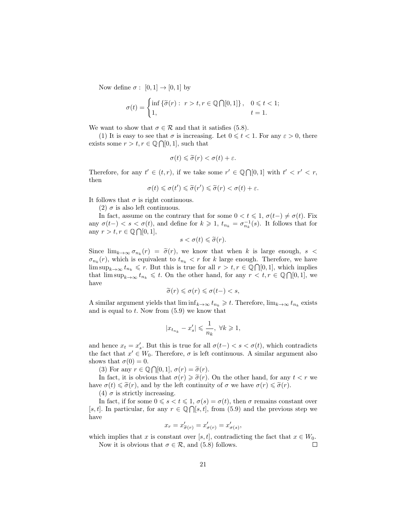Now define  $\sigma : [0,1] \rightarrow [0,1]$  by

$$
\sigma(t) = \begin{cases} \inf \{ \widetilde{\sigma}(r) : r > t, r \in \mathbb{Q} \cap [0,1] \}, & 0 \leq t < 1; \\ 1, & t = 1. \end{cases}
$$

We want to show that  $\sigma \in \mathcal{R}$  and that it satisfies (5.8).

(1) It is easy to see that  $\sigma$  is increasing. Let  $0 \leq t < 1$ . For any  $\varepsilon > 0$ , there exists some  $r > t, r \in \mathbb{Q} \cap [0, 1]$ , such that

$$
\sigma(t) \leq \widetilde{\sigma}(r) < \sigma(t) + \varepsilon.
$$

Therefore, for any  $t' \in (t, r)$ , if we take some  $r' \in \mathbb{Q} \cap [0, 1]$  with  $t' < r' < r$ , then

$$
\sigma(t) \leq \sigma(t') \leq \widetilde{\sigma}(r') \leq \widetilde{\sigma}(r) < \sigma(t) + \varepsilon.
$$

It follows that  $\sigma$  is right continuous.

(2)  $\sigma$  is also left continuous.

In fact, assume on the contrary that for some  $0 < t \leq 1$ ,  $\sigma(t-) \neq \sigma(t)$ . Fix any  $\sigma(t-) < s < \sigma(t)$ , and define for  $k \geq 1$ ,  $t_{n_k} = \sigma_{n_k}^{-1}(s)$ . It follows that for any  $r > t, r \in \mathbb{Q} \cap [0, 1],$ 

$$
s < \sigma(t) \leq \widetilde{\sigma}(r).
$$

Since  $\lim_{k\to\infty} \sigma_{n_k}(r) = \tilde{\sigma}(r)$ , we know that when k is large enough,  $s <$  $\sigma_{n_k}(r)$ , which is equivalent to  $t_{n_k} < r$  for k large enough. Therefore, we have  $\limsup_{k\to\infty} t_{n_k} \leqslant r$ . But this is true for all  $r > t, r \in \mathbb{Q} \cap [0,1]$ , which implies that  $\limsup_{k\to\infty} t_{n_k} \leqslant t$ . On the other hand, for any  $r < t, r \in \mathbb{Q} \cap [0,1]$ , we have

$$
\widetilde{\sigma}(r) \leqslant \sigma(r) \leqslant \sigma(t-) < s,
$$

A similar argument yields that  $\liminf_{k\to\infty} t_{n_k} \geq t$ . Therefore,  $\lim_{k\to\infty} t_{n_k}$  exists and is equal to  $t$ . Now from  $(5.9)$  we know that

$$
|x_{t_{n_k}}-x_s'|\leqslant \frac{1}{n_k},\;\forall k\geqslant 1,
$$

and hence  $x_t = x'_s$ . But this is true for all  $\sigma(t-) < s < \sigma(t)$ , which contradicts the fact that  $x' \in W_0$ . Therefore,  $\sigma$  is left continuous. A similar argument also shows that  $\sigma(0) = 0$ .

(3) For any  $r \in \mathbb{Q} \cap [0, 1], \sigma(r) = \tilde{\sigma}(r)$ .<br>In fact, it is obvious that  $\sigma(r) \geq \tilde{\sigma}(r)$ .

In fact, it is obvious that  $\sigma(r) \geq \tilde{\sigma}(r)$ . On the other hand, for any  $t < r$  we have  $\sigma(t) \leq \tilde{\sigma}(r)$ , and by the left continuity of  $\sigma$  we have  $\sigma(r) \leq \tilde{\sigma}(r)$ .

(4)  $\sigma$  is strictly increasing.

In fact, if for some  $0 \le s < t \le 1$ ,  $\sigma(s) = \sigma(t)$ , then  $\sigma$  remains constant over [s, t]. In particular, for any  $r \in \mathbb{Q} \cap [s, t]$ , from (5.9) and the previous step we have

$$
x_r = x'_{\widetilde{\sigma}(r)} = x'_{\sigma(r)} = x'_{\sigma(s)},
$$

which implies that x is constant over [s, t], contradicting the fact that  $x \in W_0$ .  $\Box$ 

Now it is obvious that  $\sigma \in \mathcal{R}$ , and (5.8) follows.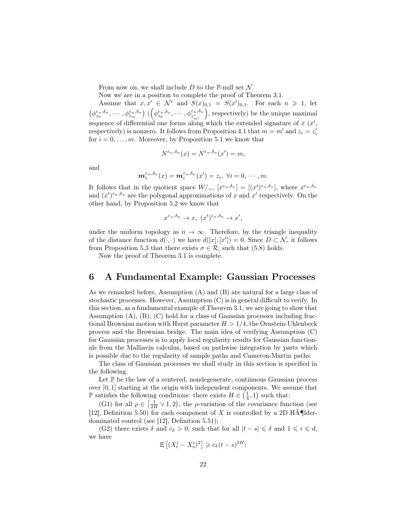From now on, we shall include D to the P-null set  $\mathcal N$ .

Now we are in a position to complete the proof of Theorem 3.1.

Assume that  $x, x' \in \mathcal{N}^c$  and  $S(x)_{0,1} = S(x')_{0,1}$ . For each  $n \geq 1$ , let  $(\phi_{z_0}^{\varepsilon_n,\delta_n},\cdots,\phi_{z_m}^{\varepsilon_n,\delta_n})\; (\Big(\phi_{z_0}^{\varepsilon_n,\delta_n},\cdots,\phi_{z_{m'}'}^{\varepsilon_n,\delta_n})$  , respectively) be the unique maximal sequence of differential one forms along which the extended signature of  $x(x)$ , respectively) is nonzero. It follows from Proposition 4.1 that  $m = m'$  and  $z_i = z'_i$ for  $i = 0, \ldots, m$ . Moreover, by Proposition 5.1 we know that

$$
N^{\varepsilon_n,\delta_n}(x) = N^{\varepsilon_n,\delta_n}(x') = m,
$$

and

$$
\mathbf{m}_{i}^{\varepsilon_{n},\delta_{n}}(x)=\mathbf{m}_{i}^{\varepsilon_{n},\delta_{n}}(x')=z_{i},\ \forall i=0,\cdots,m.
$$

It follows that in the quotient space  $W/\sim$ ,  $[x^{\varepsilon_n,\delta_n}] = [(x')^{\varepsilon_n,\delta_n}]$ , where  $x^{\varepsilon_n,\delta_n}$ and  $(x')^{\varepsilon_n,\delta_n}$  are the polygonal approximations of x and x' respectively. On the other hand, by Proposition 5.2 we know that

$$
x^{\varepsilon_n,\delta_n} \to x, \ (x')^{\varepsilon_n,\delta_n} \to x',
$$

under the uniform topology as  $n \to \infty$ . Therefore, by the triangle inequality of the distance function  $d(\cdot, \cdot)$  we have  $d([x], [x']) = 0$ . Since  $D \subset \mathcal{N}$ , it follows from Proposition 5.3 that there exists  $\sigma \in \mathcal{R}$ , such that (5.8) holds.

Now the proof of Theorem 3.1 is complete.

## 6 A Fundamental Example: Gaussian Processes

As we remarked before, Assumption (A) and (B) are natural for a large class of stochastic processes. However, Assumption (C) is in general difficult to verify. In this section, as a fundamental example of Theorem 3.1, we are going to show that Assumption (A), (B), (C) hold for a class of Gaussian processes including fractional Brownian motion with Hurst parameter  $H > 1/4$ , the Ornstein-Uhlenbeck process and the Brownian bridge. The main idea of verifying Assumption (C) for Gaussian processes is to apply local regularity results for Gaussian functionals from the Malliavin calculus, based on pathwise integration by parts which is possible due to the regularity of sample paths and Cameron-Martin paths.

The class of Gaussian processes we shall study in this section is specified in the following.

Let  $\mathbb P$  be the law of a centered, nondegenerate, continuous Gaussian process over [0, 1] starting at the origin with independent components. We assume that *■* satisfies the following conditions: there exists  $H \in \left(\frac{1}{4}, 1\right)$  such that:

(G1) for all  $\rho \in \left[\frac{1}{2H} \vee 1, 2\right]$ , the  $\rho$ -variation of the covariance function (see [12], Definition 5.50) for each component of X is controlled by a 2D HA $\P$ lderdominated control (see [12], Definition 5.51);

(G2) there exists  $\delta$  and  $c_{\delta} > 0$ , such that for all  $|t - s| \leq \delta$  and  $1 \leq i \leq d$ , we have

$$
\mathbb{E}\left[ (X_t^i - X_s^i)^2 \right] \geqslant c_\delta (t-s)^{2H};
$$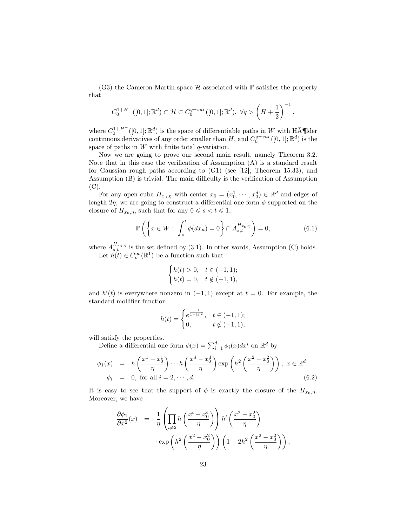(G3) the Cameron-Martin space  $\mathcal H$  associated with  $\mathbb P$  satisfies the property that

$$
C_0^{1+H^-}([0,1];\mathbb{R}^d) \subset \mathcal{H} \subset C_0^{q-var}([0,1];\mathbb{R}^d), \ \forall q > \left(H + \frac{1}{2}\right)^{-1},
$$

where  $C_0^{1+H^-}([0,1];\mathbb{R}^d)$  is the space of differentiable paths in W with HA $\tilde{\mathbf{A}}$ ¶lder continuous derivatives of any order smaller than H, and  $C_0^{q-var}([0,1]; \mathbb{R}^d)$  is the space of paths in  $W$  with finite total  $q$ -variation.

Now we are going to prove our second main result, namely Theorem 3.2. Note that in this case the verification of Assumption (A) is a standard result for Gaussian rough paths according to (G1) (see [12], Theorem 15.33), and Assumption (B) is trivial. The main difficulty is the verification of Assumption (C).

For any open cube  $H_{x_0,\eta}$  with center  $x_0 = (x_0^1, \dots, x_0^d) \in \mathbb{R}^d$  and edges of length  $2\eta$ , we are going to construct a differential one form  $\phi$  supported on the closure of  $H_{x_0,\eta}$ , such that for any  $0 \le s < t \le 1$ ,

$$
\mathbb{P}\left(\left\{x \in W: \int_{s}^{t} \phi(dx_u) = 0\right\} \cap A_{s,t}^{H_{x_0,\eta}}\right) = 0,\tag{6.1}
$$

where  $A_{s,t}^{H_{x_0,\eta}}$  is the set defined by (3.1). In other words, Assumption (C) holds. Let  $h(t) \in C_c^{\infty}(\mathbb{R}^1)$  be a function such that

$$
\begin{cases} h(t) > 0, & t \in (-1, 1); \\ h(t) = 0, & t \notin (-1, 1), \end{cases}
$$

and  $h'(t)$  is everywhere nonzero in  $(-1,1)$  except at  $t=0$ . For example, the standard mollifier function

$$
h(t) = \begin{cases} e^{\frac{-1}{1-|t|^2}}, & t \in (-1,1); \\ 0, & t \notin (-1,1), \end{cases}
$$

will satisfy the properties.

Define a differential one form  $\phi(x) = \sum_{i=1}^{d} \phi_i(x) dx^i$  on  $\mathbb{R}^d$  by

$$
\phi_1(x) = h\left(\frac{x^1 - x_0^1}{\eta}\right) \cdots h\left(\frac{x^d - x_0^d}{\eta}\right) \exp\left(h^2\left(\frac{x^2 - x_0^2}{\eta}\right)\right), \ x \in \mathbb{R}^d,
$$
  

$$
\phi_i = 0, \text{ for all } i = 2, \cdots, d.
$$
 (6.2)

It is easy to see that the support of  $\phi$  is exactly the closure of the  $H_{x_0,\eta}$ . Moreover, we have

$$
\frac{\partial \phi_1}{\partial x^2}(x) = \frac{1}{\eta} \left( \prod_{i \neq 2} h\left(\frac{x^i - x_0^i}{\eta}\right) \right) h' \left(\frac{x^2 - x_0^2}{\eta}\right) \cdot \exp\left(h^2 \left(\frac{x^2 - x_0^2}{\eta}\right)\right) \left(1 + 2h^2 \left(\frac{x^2 - x_0^2}{\eta}\right)\right),
$$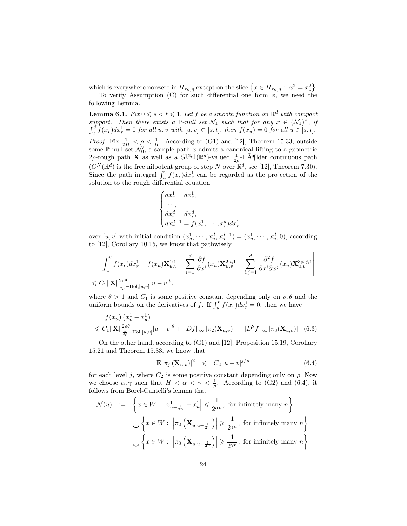which is everywhere nonzero in  $H_{x_0,\eta}$  except on the slice  $\{x \in H_{x_0,\eta}: x^2 = x_0^2\}$ .

To verify Assumption (C) for such differential one form  $\phi$ , we need the following Lemma.

**Lemma 6.1.** Fix  $0 \le s < t \le 1$ . Let f be a smooth function on  $\mathbb{R}^d$  with compact support. Then there exists a P-null set  $\mathcal{N}_1$  such that for any  $x \in (\mathcal{N}_1)^c$ , if  $\int_u^v f(x_r) dx_r^1 = 0$  for all  $u, v$  with  $[u, v] \subset [s, t]$ , then  $f(x_u) = 0$  for all  $u \in [s, t]$ . *Proof.* Fix  $\frac{1}{2H} < \rho < \frac{1}{H}$ . According to (G1) and [12], Theorem 15.33, outside some P-null set  $\mathcal{N}'_0$ , a sample path x admits a canonical lifting to a geometric 2ρ-rough path **X** as well as a  $G^{[2\rho]}(\mathbb{R}^d)$ -valued  $\frac{1}{2\rho}$ -Hölder continuous path  $(G^N(\mathbb{R}^d))$  is the free nilpotent group of step N over  $\mathbb{R}^d$ , see [12], Theorem 7.30). Since the path integral  $\int_u^v f(x_r) dx_r^1$  can be regarded as the projection of the solution to the rough differential equation

$$
\begin{cases}\ndx_r^1 = dx_r^1, \\
\cdots, \\
dx_r^d = dx_r^d, \\
dx_r^{d+1} = f(x_r^1, \cdots, x_r^d) dx_r^1\n\end{cases}
$$

over  $[u, v]$  with initial condition  $(x_u^1, \dots, x_u^d, x_u^{d+1}) = (x_u^1, \dots, x_u^d, 0)$ , according to [12], Corollary 10.15, we know that pathwisely

$$
\left| \int_u^v f(x_r) dx_r^1 - f(x_u) \mathbf{X}_{u,v}^{1;1} - \sum_{i=1}^d \frac{\partial f}{\partial x^i}(x_u) \mathbf{X}_{u,v}^{2;i,1} - \sum_{i,j=1}^d \frac{\partial^2 f}{\partial x^i \partial x^j}(x_u) \mathbf{X}_{u,v}^{3;i,j,1} \right|
$$
  
 $\leq C_1 ||\mathbf{X}||_{\frac{1}{2\rho} - \text{H\"ol};[u,v]}^2 |u - v|^{\theta},$ 

where  $\theta > 1$  and  $C_1$  is some positive constant depending only on  $\rho$ ,  $\theta$  and the uniform bounds on the derivatives of f. If  $\int_u^v f(x_r) dx_r^1 = 0$ , then we have

$$
\left| f(x_u) \left( x_v^1 - x_u^1 \right) \right|
$$
  
\$\leq C\_1 \| \mathbf{X} \|\_{\frac{1}{2\rho} - \text{H\"ol};[u,v]}^{\frac{2}{\rho} | u - v|^{\theta} + \| Df \|\_{\infty} |\pi\_2(\mathbf{X}\_{u,v})| + \| D^2 f \|\_{\infty} |\pi\_3(\mathbf{X}\_{u,v})| \quad (6.3)\$

On the other hand, according to (G1) and [12], Proposition 15.19, Corollary 15.21 and Theorem 15.33, we know that

$$
\mathbb{E} |\pi_j (\mathbf{X}_{u,v})|^2 \leq C_2 |u-v|^{j/\rho} \tag{6.4}
$$

r

for each level j, where  $C_2$  is some positive constant depending only on  $\rho$ . Now we choose  $\alpha, \gamma$  such that  $H < \alpha < \gamma < \frac{1}{\rho}$ . According to (G2) and (6.4), it follows from Borel-Cantelli's lemma that

$$
\mathcal{N}(u) := \left\{ x \in W : \left| x_{u + \frac{1}{2^n}}^1 - x_u^1 \right| \leq \frac{1}{2^{\alpha n}}, \text{ for infinitely many } n \right\}
$$
  

$$
\bigcup \left\{ x \in W : \left| \pi_2 \left( \mathbf{X}_{u, u + \frac{1}{2^n}} \right) \right| \geq \frac{1}{2^{\gamma n}}, \text{ for infinitely many } n \right\}
$$
  

$$
\bigcup \left\{ x \in W : \left| \pi_3 \left( \mathbf{X}_{u, u + \frac{1}{2^n}} \right) \right| \geq \frac{1}{2^{\gamma n}}, \text{ for infinitely many } n \right\}
$$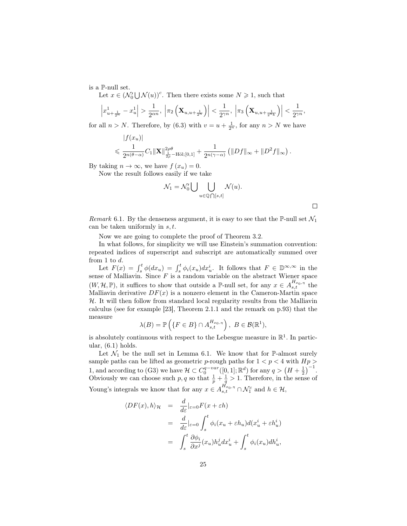is a P-null set.

Let  $x \in (\mathcal{N}_0' \cup \mathcal{N}(u))^c$ . Then there exists some  $N \geq 1$ , such that

$$
\left|x_{u+\frac{1}{2^n}}^1 - x_u^1\right| > \frac{1}{2^{\alpha n}}, \left|\pi_2\left(\mathbf{X}_{u,u+\frac{1}{2^n}}\right)\right| < \frac{1}{2^{\gamma n}}, \left|\pi_3\left(\mathbf{X}_{u,u+\frac{1}{2^n k}}\right)\right| < \frac{1}{2^{\gamma n}},
$$

for all  $n > N$ . Therefore, by (6.3) with  $v = u + \frac{1}{2^n}$ , for any  $n > N$  we have

$$
|f(x_u)| \le \frac{1}{2^{n(\theta-\alpha)}} C_1 ||\mathbf{X}||_{\frac{1}{2\rho} - \mathrm{H\ddot{o}l};[0,1]}^{2\rho\theta} + \frac{1}{2^{n(\gamma-\alpha)}} \left( ||Df||_{\infty} + ||D^2f||_{\infty} \right).
$$

By taking  $n \to \infty$ , we have  $f(x_u) = 0$ .

Now the result follows easily if we take

$$
\mathcal{N}_1 = \mathcal{N}'_0 \bigcup \bigcup_{u \in \mathbb{Q} \bigcap [s,t]} \mathcal{N}(u).
$$

 $\Box$ 

Remark 6.1. By the denseness argument, it is easy to see that the P-null set  $\mathcal{N}_1$ can be taken uniformly in  $s, t$ .

Now we are going to complete the proof of Theorem 3.2.

In what follows, for simplicity we will use Einstein's summation convention: repeated indices of superscript and subscript are automatically summed over from 1 to d.

Let  $F(x) = \int_s^t \phi(dx_u) = \int_s^t \phi_i(x_u) dx_u^i$ . It follows that  $F \in \mathbb{D}^{\infty, \infty}$  in the sense of Malliavin. Since  $F$  is a random variable on the abstract Wiener space  $(W, \mathcal{H}, \mathbb{P})$ , it suffices to show that outside a P-null set, for any  $x \in A_{s,t}^{H_{x_0,\eta}}$  the Malliavin derivative  $DF(x)$  is a nonzero element in the Cameron-Martin space  $H$ . It will then follow from standard local regularity results from the Malliavin calculus (see for example [23], Theorem 2.1.1 and the remark on p.93) that the measure

$$
\lambda(B) = \mathbb{P}\left(\{F \in B\} \cap A_{s,t}^{H_{x_0,\eta}}\right), \ B \in \mathcal{B}(\mathbb{R}^1),
$$

is absolutely continuous with respect to the Lebesgue measure in  $\mathbb{R}^1$ . In particular, (6.1) holds.

Let  $\mathcal{N}_1$  be the null set in Lemma 6.1. We know that for P-almost surely sample paths can be lifted as geometric p-rough paths for  $1 < p < 4$  with  $Hp >$ 1, and according to (G3) we have  $\mathcal{H} \subset C_0^{q-var}([0,1];\mathbb{R}^d)$  for any  $q > (H + \frac{1}{2})^{-1}$ . Obviously we can choose such p, q so that  $\frac{1}{p} + \frac{1}{q} > 1$ . Therefore, in the sense of Young's integrals we know that for any  $x \in A_{s,t}^{H_{x_0,\eta}} \cap \mathcal{N}_1^c$  and  $h \in \mathcal{H}$ ,

$$
\langle DF(x), h \rangle_{\mathcal{H}} = \frac{d}{d\varepsilon}|_{\varepsilon=0} F(x + \varepsilon h)
$$
  
= 
$$
\frac{d}{d\varepsilon}|_{\varepsilon=0} \int_{s}^{t} \phi_{i}(x_{u} + \varepsilon h_{u}) d(x_{u}^{i} + \varepsilon h_{u}^{i})
$$
  
= 
$$
\int_{s}^{t} \frac{\partial \phi_{i}}{\partial x^{j}}(x_{u}) h_{u}^{j} dx_{u}^{i} + \int_{s}^{t} \phi_{i}(x_{u}) dh_{u}^{i},
$$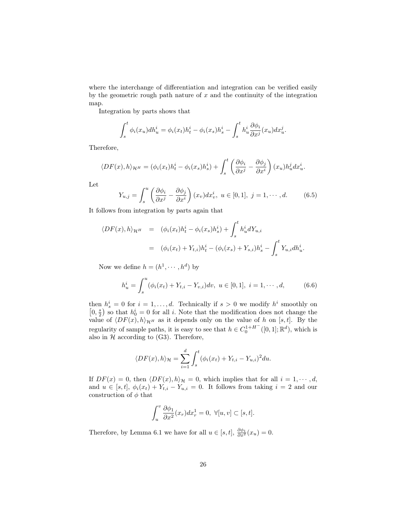where the interchange of differentiation and integration can be verified easily by the geometric rough path nature of  $x$  and the continuity of the integration map.

Integration by parts shows that

$$
\int_s^t \phi_i(x_u) dh_u^i = \phi_i(x_t) h_t^i - \phi_i(x_s) h_s^i - \int_s^t h_u^i \frac{\partial \phi_i}{\partial x^j}(x_u) dx_u^j.
$$

Therefore,

$$
\langle DF(x), h \rangle_{\mathcal{H}^H} = (\phi_i(x_t)h_t^i - \phi_i(x_s)h_s^i) + \int_s^t \left(\frac{\partial \phi_i}{\partial x^j} - \frac{\partial \phi_j}{\partial x^i}\right)(x_u)h_u^j dx_u^i.
$$

Let

$$
Y_{u,j} = \int_s^u \left(\frac{\partial \phi_i}{\partial x^j} - \frac{\partial \phi_j}{\partial x^i}\right)(x_v) dx_v^i, \ u \in [0,1], \ j = 1, \cdots, d. \tag{6.5}
$$

It follows from integration by parts again that

$$
\langle DF(x), h \rangle_{\mathcal{H}^H} = (\phi_i(x_t)h_t^i - \phi_i(x_s)h_s^i) + \int_s^t h_u^i dY_{u,i}
$$
  

$$
= (\phi_i(x_t) + Y_{t,i})h_t^i - (\phi_i(x_s) + Y_{s,i})h_s^i - \int_s^t Y_{u,i}dh_u^i.
$$

Now we define  $h = (h^1, \dots, h^d)$  by

$$
h_u^i = \int_s^u (\phi_i(x_t) + Y_{t,i} - Y_{v,i}) dv, \ u \in [0,1], \ i = 1, \cdots, d,
$$
 (6.6)

then  $h_s^i = 0$  for  $i = 1, ..., d$ . Technically if  $s > 0$  we modify  $h^i$  smoothly on  $\left[0, \frac{s}{2}\right)$  so that  $h_0^i = 0$  for all i. Note that the modification does not change the value of  $\langle DF(x), h \rangle_{\mathcal{H}^H}$  as it depends only on the value of h on [s, t]. By the regularity of sample paths, it is easy to see that  $h \in C_0^{1+H^-}([0,1];\mathbb{R}^d)$ , which is also in  $H$  according to (G3). Therefore,

$$
\langle DF(x), h \rangle_{\mathcal{H}} = \sum_{i=1}^d \int_s^t (\phi_i(x_t) + Y_{t,i} - Y_{u,i})^2 du.
$$

If  $DF(x) = 0$ , then  $\langle DF(x), h \rangle_{\mathcal{H}} = 0$ , which implies that for all  $i = 1, \dots, d$ , and  $u \in [s,t], \phi_i(x_t) + Y_{t,i} - Y_{u,i} = 0$ . It follows from taking  $i = 2$  and our construction of  $\phi$  that

$$
\int_u^v \frac{\partial \phi_1}{\partial x^2}(x_r) dx_r^1 = 0, \ \forall [u, v] \subset [s, t].
$$

Therefore, by Lemma 6.1 we have for all  $u \in [s, t]$ ,  $\frac{\partial \phi_1}{\partial x^2}(x_u) = 0$ .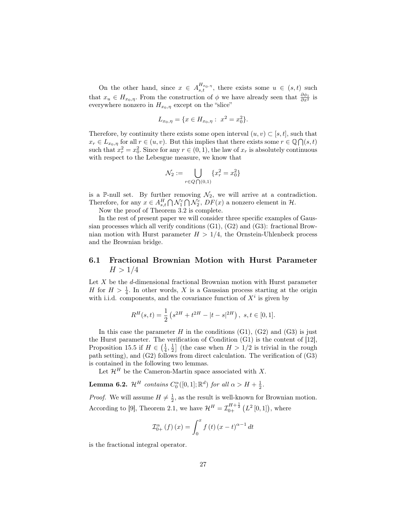On the other hand, since  $x \in A^{H_{x_0, \eta}}_{s,t}$ , there exists some  $u \in (s,t)$  such that  $x_u \in H_{x_0,\eta}$ . From the construction of  $\phi$  we have already seen that  $\frac{\partial \phi_1}{\partial x^2}$  is everywhere nonzero in  $H_{x_0,\eta}$  except on the "slice"

$$
L_{x_0,\eta} = \{ x \in H_{x_0,\eta} : x^2 = x_0^2 \}.
$$

Therefore, by continuity there exists some open interval  $(u, v) \subset [s, t]$ , such that  $x_r \in L_{x_0,\eta}$  for all  $r \in (u, v)$ . But this implies that there exists some  $r \in \mathbb{Q} \bigcap (s, t)$ such that  $x_r^2 = x_0^2$ . Since for any  $r \in (0, 1)$ , the law of  $x_r$  is absolutely continuous with respect to the Lebesgue measure, we know that

$$
\mathcal{N}_2 := \bigcup_{r \in Q \bigcap (0,1)} \{x_r^2 = x_0^2\}
$$

is a P-null set. By further removing  $\mathcal{N}_2$ , we will arrive at a contradiction. Therefore, for any  $x \in A_{s,t}^H \bigcap \mathcal{N}_1^c \bigcap \mathcal{N}_2^c$ ,  $DF(x)$  a nonzero element in  $\mathcal{H}$ .

Now the proof of Theorem 3.2 is complete.

In the rest of present paper we will consider three specific examples of Gaussian processes which all verify conditions  $(G1)$ ,  $(G2)$  and  $(G3)$ : fractional Brownian motion with Hurst parameter  $H > 1/4$ , the Ornstein-Uhlenbeck process and the Brownian bridge.

#### 6.1 Fractional Brownian Motion with Hurst Parameter  $H > 1/4$

Let  $X$  be the d-dimensional fractional Brownian motion with Hurst parameter H for  $H > \frac{1}{4}$ . In other words, X is a Gaussian process starting at the origin with i.i.d. components, and the covariance function of  $X<sup>i</sup>$  is given by

$$
R^{H}(s,t) = \frac{1}{2} \left( s^{2H} + t^{2H} - |t - s|^{2H} \right), \ s, t \in [0,1].
$$

In this case the parameter  $H$  in the conditions (G1), (G2) and (G3) is just the Hurst parameter. The verification of Condition (G1) is the content of [12], Proposition 15.5 if  $H \in \left(\frac{1}{4}, \frac{1}{2}\right]$  (the case when  $H > 1/2$  is trivial in the rough path setting), and (G2) follows from direct calculation. The verification of (G3) is contained in the following two lemmas.

Let  $\mathcal{H}^H$  be the Cameron-Martin space associated with X.

**Lemma 6.2.**  $\mathcal{H}^H$  contains  $C_0^{\alpha}([0,1]; \mathbb{R}^d)$  for all  $\alpha > H + \frac{1}{2}$ .

*Proof.* We will assume  $H \neq \frac{1}{2}$ , as the result is well-known for Brownian motion. According to [9], Theorem 2.1, we have  $\mathcal{H}^{H} = \mathcal{I}_{0+}^{H+\frac{1}{2}}(L^{2}[0,1]),$  where

$$
\mathcal{I}_{0+}^{\alpha} (f) (x) = \int_{0}^{x} f (t) (x - t)^{\alpha - 1} dt
$$

is the fractional integral operator.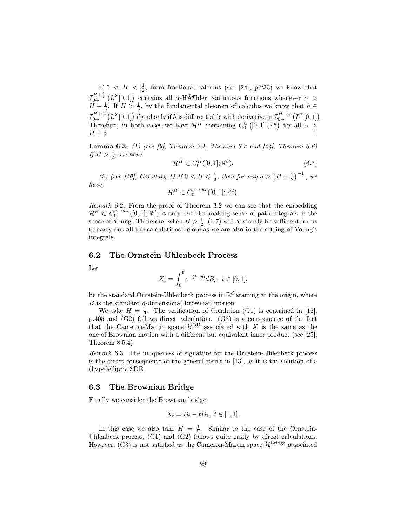If  $0 \lt H \lt \frac{1}{2}$ , from fractional calculus (see [24], p.233) we know that  $\mathcal{I}_{0+}^{H+\frac{1}{2}}(L^2[0,1])$  contains all  $\alpha$ -Hölder continuous functions whenever  $\alpha >$  $H + \frac{1}{2}$ . If  $H > \frac{1}{2}$ , by the fundamental theorem of calculus we know that  $h \in$  $\mathcal{I}_{0+}^{H+\frac{1}{2}}\left(L^2\left[0,1\right]\right)$  if and only if h is differentiable with derivative in  $\mathcal{I}_{0+}^{H-\frac{1}{2}}\left(L^2\left[0,1\right]\right)$ . Therefore, in both cases we have  $\mathcal{H}^H$  containing  $C_0^{\alpha}([0,1];\mathbb{R}^d)$  for all  $\alpha >$  $H + \frac{1}{2}$ .

**Lemma 6.3.** (1) (see [9], Theorem 2.1, Theorem 3.3 and [24], Theorem 3.6) If  $H > \frac{1}{2}$ , we have

$$
\mathcal{H}^H \subset C_0^H([0,1];\mathbb{R}^d). \tag{6.7}
$$

(2) (see [10], Corollary 1) If  $0 < H \leq \frac{1}{2}$ , then for any  $q > (H + \frac{1}{2})^{-1}$ , we have

 $\mathcal{H}^H \subset C_0^{q-var}([0,1];\mathbb{R}^d).$ 

Remark 6.2. From the proof of Theorem 3.2 we can see that the embedding  $\mathcal{H}^H \subset C_0^{q-var}([0,1];\mathbb{R}^d)$  is only used for making sense of path integrals in the sense of Young. Therefore, when  $H > \frac{1}{2}$ , (6.7) will obviously be sufficient for us to carry out all the calculations before as we are also in the setting of Young's integrals.

#### 6.2 The Ornstein-Uhlenbeck Process

Let

$$
X_t = \int_0^t e^{-(t-s)} dB_s, \ t \in [0,1],
$$

be the standard Ornstein-Uhlenbeck process in  $\mathbb{R}^d$  starting at the origin, where  $B$  is the standard  $d$ -dimensional Brownian motion.

We take  $H = \frac{1}{2}$ . The verification of Condition (G1) is contained in [12], p.405 and (G2) follows direct calculation. (G3) is a consequence of the fact that the Cameron-Martin space  $\mathcal{H}^{\text{OU}}$  associated with X is the same as the one of Brownian motion with a different but equivalent inner product (see [25], Theorem 8.5.4).

Remark 6.3. The uniqueness of signature for the Ornstein-Uhlenbeck process is the direct consequence of the general result in [13], as it is the solution of a (hypo)elliptic SDE.

#### 6.3 The Brownian Bridge

Finally we consider the Brownian bridge

$$
X_t = B_t - tB_1, \ t \in [0, 1].
$$

In this case we also take  $H = \frac{1}{2}$ . Similar to the case of the Ornstein-Uhlenbeck process, (G1) and (G2) follows quite easily by direct calculations. However,  $(G3)$  is not satisfied as the Cameron-Martin space  $\mathcal{H}^{\text{Bridge}}$  associated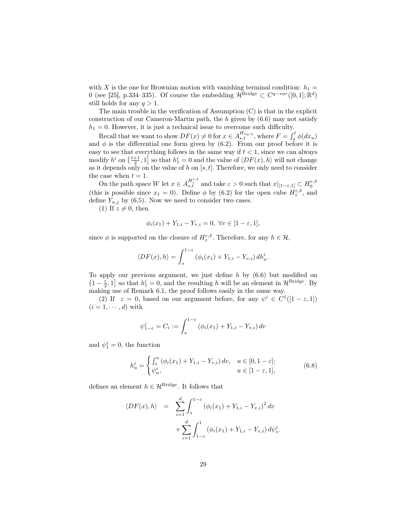with X is the one for Brownian motion with vanishing terminal condition:  $h_1 =$ 0 (see [25], p.334–335). Of course the embedding  $\mathcal{H}^{\text{Bridge}} \subset C^{q-var}([0,1]; \mathbb{R}^d)$ still holds for any  $q > 1$ .

The main trouble in the verification of Assumption (C) is that in the explicit construction of our Cameron-Martin path, the h given by  $(6.6)$  may not satisfy  $h_1 = 0$ . However, it is just a technical issue to overcome such difficulty.

Recall that we want to show  $DF(x) \neq 0$  for  $x \in A_{s,t}^{H_{x_0,\eta}},$  where  $F = \int_s^t \phi(dx_u)$ and  $\phi$  is the differential one form given by (6.2). From our proof before it is easy to see that everything follows in the same way if  $t < 1$ , since we can always modify  $h^i$  on  $\left(\frac{t+1}{2}, 1\right]$  so that  $h_1^i = 0$  and the value of  $\langle DF(x), h \rangle$  will not change as it depends only on the value of h on  $[s, t]$ . Therefore, we only need to consider the case when  $t = 1$ .

On the path space W let  $x \in A_{s,t}^{H_{\varepsilon}^{\varepsilon,\delta}}$  and take  $\varepsilon > 0$  such that  $x|_{[1-\varepsilon,1]} \subset H_0^{\varepsilon,\delta}$ (this is possible since  $x_1 = 0$ ). Define  $\phi$  by (6.2) for the open cube  $H_z^{\varepsilon,\delta}$ , and define  $Y_{u,j}$  by (6.5). Now we need to consider two cases.

(1) If  $z \neq 0$ , then

$$
\phi_i(x_1) + Y_{1,i} - Y_{v,i} = 0, \ \forall v \in [1 - \varepsilon, 1],
$$

since  $\phi$  is supported on the closure of  $H_z^{\varepsilon,\delta}$ . Therefore, for any  $h \in \mathcal{H}$ ,

$$
\langle DF(x), h \rangle = \int_s^{1-\varepsilon} (\phi_i(x_1) + Y_{1,i} - Y_{v,i}) dh_u^i.
$$

To apply our previous argument, we just define  $h$  by  $(6.6)$  but modified on  $(1 - \frac{\varepsilon}{2}, 1]$  so that  $h_1^i = 0$ , and the resulting h will be an element in  $\mathcal{H}^{\text{Bridge}}$ . By making use of Remark 6.1, the proof follows easily in the same way.

(2) If  $z = 0$ , based on our argument before, for any  $\psi^i \in C^1([1 - \varepsilon, 1])$  $(i = 1, \cdots, d)$  with

$$
\psi_{1-\varepsilon}^i = C_i := \int_s^{1-\varepsilon} (\phi_i(x_1) + Y_{1,i} - Y_{v,i}) dv
$$

and  $\psi_1^i = 0$ , the function

$$
h_u^i = \begin{cases} \int_s^u (\phi_i(x_1) + Y_{1,i} - Y_{v,i}) dv, & u \in [0, 1 - \varepsilon];\\ \psi_u^i, & u \in [1 - \varepsilon, 1], \end{cases}
$$
(6.8)

.

defines an element  $h \in \mathcal{H}^{\text{Bridge}}$ . It follows that

$$
\langle DF(x), h \rangle = \sum_{i=1}^{d} \int_{s}^{1-\epsilon} (\phi_i(x_1) + Y_{1,i} - Y_{v,i})^2 dv + \sum_{i=1}^{d} \int_{1-\epsilon}^{1} (\phi_i(x_1) + Y_{1,i} - Y_{v,i}) d\psi_v^i
$$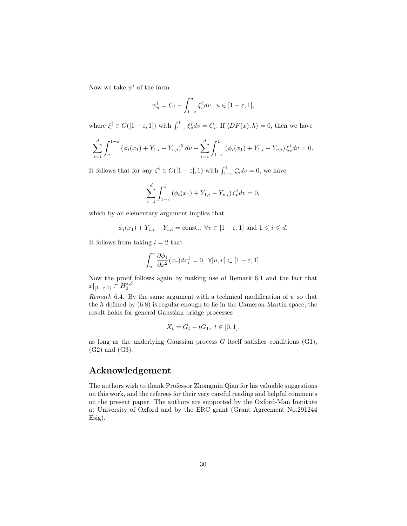Now we take  $\psi^i$  of the form

$$
\psi_u^i = C_i - \int_{1-\varepsilon}^u \xi_v^i dv, \ u \in [1-\varepsilon, 1],
$$

where  $\xi^i \in C([1 - \varepsilon, 1])$  with  $\int_{1-\varepsilon}^1 \xi_v^i dv = C_i$ . If  $\langle DF(x), h \rangle = 0$ , then we have

$$
\sum_{i=1}^{d} \int_{s}^{1-\varepsilon} \left( \phi_i(x_1) + Y_{1,i} - Y_{v,i} \right)^2 dv - \sum_{i=1}^{d} \int_{1-\varepsilon}^{1} \left( \phi_i(x_1) + Y_{1,i} - Y_{v,i} \right) \xi_v^i dv = 0.
$$

It follows that for any  $\zeta^i \in C([1-\varepsilon], 1)$  with  $\int_{1-\varepsilon}^1 \zeta_v^i dv = 0$ , we have

$$
\sum_{i=1}^{d} \int_{1-\varepsilon}^{1} (\phi_i(x_1) + Y_{1,i} - Y_{v,i}) \zeta_v^i dv = 0,
$$

which by an elementary argument implies that

$$
\phi_i(x_1) + Y_{1,i} - Y_{v,i} = \text{const.}, \ \forall v \in [1 - \varepsilon, 1] \text{ and } 1 \leq i \leq d.
$$

It follows from taking  $i = 2$  that

$$
\int_{u}^{v} \frac{\partial \phi_1}{\partial x^2}(x_r) dx_r^1 = 0, \ \forall [u, v] \subset [1 - \varepsilon, 1].
$$

Now the proof follows again by making use of Remark 6.1 and the fact that  $x|_{[1-\varepsilon,1]} \subset H_0^{\varepsilon,\delta}.$ 

Remark 6.4. By the same argument with a technical modification of  $\psi$  so that the h defined by  $(6.8)$  is regular enough to lie in the Cameron-Martin space, the result holds for general Gaussian bridge processes

$$
X_t = G_t - tG_1, \ t \in [0, 1],
$$

as long as the underlying Gaussian process  $G$  itself satisfies conditions  $(G1)$ , (G2) and (G3).

## Acknowledgement

The authors wish to thank Professor Zhongmin Qian for his valuable suggestions on this work, and the referees for their very careful reading and helpful comments on the present paper. The authors are supported by the Oxford-Man Institute at University of Oxford and by the ERC grant (Grant Agreement No.291244 Esig).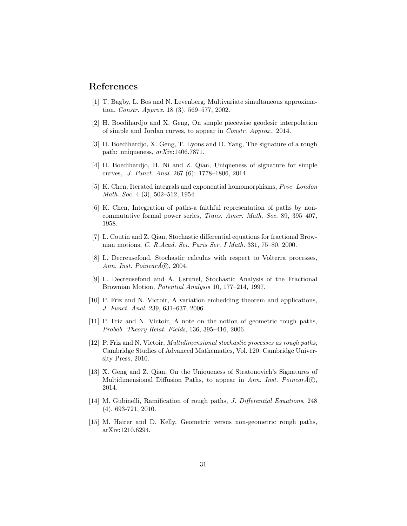#### References

- [1] T. Bagby, L. Bos and N. Levenberg, Multivariate simultaneous approximation, Constr. Approx. 18 (3), 569–577, 2002.
- [2] H. Boedihardjo and X. Geng, On simple piecewise geodesic interpolation of simple and Jordan curves, to appear in Constr. Approx., 2014.
- [3] H. Boedihardjo, X. Geng, T. Lyons and D. Yang, The signature of a rough path: uniqueness, arXiv:1406.7871.
- [4] H. Boedihardjo, H. Ni and Z. Qian, Uniqueness of signature for simple curves, J. Funct. Anal. 267 (6): 1778–1806, 2014
- [5] K. Chen, Iterated integrals and exponential homomorphisms, Proc. London Math. Soc. 4 (3), 502–512, 1954.
- [6] K. Chen, Integration of paths-a faithful representation of paths by noncommutative formal power series, Trans. Amer. Math. Soc. 89, 395–407, 1958.
- [7] L. Coutin and Z. Qian, Stochastic differential equations for fractional Brownian motions, C. R.Acad. Sci. Paris Ser. I Math. 331, 75–80, 2000.
- [8] L. Decreusefond, Stochastic calculus with respect to Volterra processes, Ann. Inst. Poincar $\widehat{A}(\widehat{c})$ , 2004.
- [9] L. Decreusefond and A. Ustunel, Stochastic Analysis of the Fractional Brownian Motion, Potential Analysis 10, 177–214, 1997.
- [10] P. Friz and N. Victoir, A variation embedding theorem and applications, J. Funct. Anal. 239, 631–637, 2006.
- [11] P. Friz and N. Victoir, A note on the notion of geometric rough paths, Probab. Theory Relat. Fields, 136, 395–416, 2006.
- [12] P. Friz and N. Victoir, Multidimensional stochastic processes as rough paths, Cambridge Studies of Advanced Mathematics, Vol. 120, Cambridge University Press, 2010.
- [13] X. Geng and Z. Qian, On the Uniqueness of Stratonovich's Signatures of Multidimensional Diffusion Paths, to appear in Ann. Inst. Poincar $A\odot$ , 2014.
- [14] M. Gubinelli, Ramification of rough paths, J. Differential Equations, 248 (4), 693-721, 2010.
- [15] M. Hairer and D. Kelly, Geometric versus non-geometric rough paths, arXiv:1210.6294.